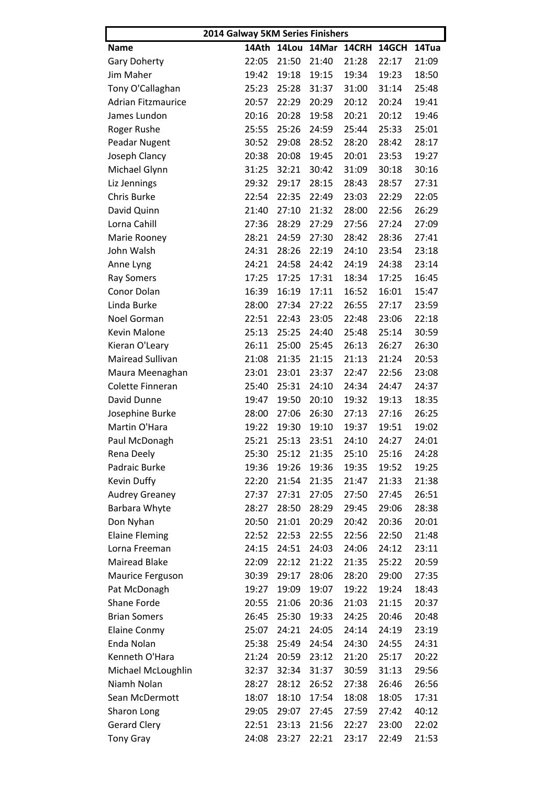| 2014 Galway 5KM Series Finishers |       |       |                   |       |       |       |  |  |
|----------------------------------|-------|-------|-------------------|-------|-------|-------|--|--|
| <b>Name</b>                      |       |       | 14Ath 14Lou 14Mar | 14CRH | 14GCH | 14Tua |  |  |
| <b>Gary Doherty</b>              | 22:05 | 21:50 | 21:40             | 21:28 | 22:17 | 21:09 |  |  |
| Jim Maher                        | 19:42 | 19:18 | 19:15             | 19:34 | 19:23 | 18:50 |  |  |
| Tony O'Callaghan                 | 25:23 | 25:28 | 31:37             | 31:00 | 31:14 | 25:48 |  |  |
| <b>Adrian Fitzmaurice</b>        | 20:57 | 22:29 | 20:29             | 20:12 | 20:24 | 19:41 |  |  |
| James Lundon                     | 20:16 | 20:28 | 19:58             | 20:21 | 20:12 | 19:46 |  |  |
| Roger Rushe                      | 25:55 | 25:26 | 24:59             | 25:44 | 25:33 | 25:01 |  |  |
| Peadar Nugent                    | 30:52 | 29:08 | 28:52             | 28:20 | 28:42 | 28:17 |  |  |
| Joseph Clancy                    | 20:38 | 20:08 | 19:45             | 20:01 | 23:53 | 19:27 |  |  |
| Michael Glynn                    | 31:25 | 32:21 | 30:42             | 31:09 | 30:18 | 30:16 |  |  |
| Liz Jennings                     | 29:32 | 29:17 | 28:15             | 28:43 | 28:57 | 27:31 |  |  |
| Chris Burke                      | 22:54 | 22:35 | 22:49             | 23:03 | 22:29 | 22:05 |  |  |
| David Quinn                      | 21:40 | 27:10 | 21:32             | 28:00 | 22:56 | 26:29 |  |  |
| Lorna Cahill                     | 27:36 | 28:29 | 27:29             | 27:56 | 27:24 | 27:09 |  |  |
| Marie Rooney                     | 28:21 | 24:59 | 27:30             | 28:42 | 28:36 | 27:41 |  |  |
| John Walsh                       | 24:31 | 28:26 | 22:19             | 24:10 | 23:54 | 23:18 |  |  |
| Anne Lyng                        | 24:21 | 24:58 | 24:42             | 24:19 | 24:38 | 23:14 |  |  |
| <b>Ray Somers</b>                | 17:25 | 17:25 | 17:31             | 18:34 | 17:25 | 16:45 |  |  |
| Conor Dolan                      | 16:39 | 16:19 | 17:11             | 16:52 | 16:01 | 15:47 |  |  |
| Linda Burke                      | 28:00 | 27:34 | 27:22             | 26:55 | 27:17 | 23:59 |  |  |
| Noel Gorman                      | 22:51 | 22:43 | 23:05             | 22:48 | 23:06 | 22:18 |  |  |
| <b>Kevin Malone</b>              | 25:13 | 25:25 | 24:40             | 25:48 | 25:14 | 30:59 |  |  |
| Kieran O'Leary                   | 26:11 | 25:00 | 25:45             | 26:13 | 26:27 | 26:30 |  |  |
| Mairead Sullivan                 | 21:08 | 21:35 | 21:15             | 21:13 | 21:24 | 20:53 |  |  |
| Maura Meenaghan                  | 23:01 | 23:01 | 23:37             | 22:47 | 22:56 | 23:08 |  |  |
| Colette Finneran                 | 25:40 | 25:31 | 24:10             | 24:34 | 24:47 | 24:37 |  |  |
| David Dunne                      | 19:47 | 19:50 | 20:10             | 19:32 | 19:13 | 18:35 |  |  |
| Josephine Burke                  | 28:00 | 27:06 | 26:30             | 27:13 | 27:16 | 26:25 |  |  |
| Martin O'Hara                    | 19:22 | 19:30 | 19:10             | 19:37 | 19:51 | 19:02 |  |  |
| Paul McDonagh                    | 25:21 | 25:13 | 23:51             | 24:10 | 24:27 | 24:01 |  |  |
| Rena Deely                       | 25:30 | 25:12 | 21:35             | 25:10 | 25:16 | 24:28 |  |  |
| Padraic Burke                    | 19:36 | 19:26 | 19:36             | 19:35 | 19:52 | 19:25 |  |  |
| Kevin Duffy                      | 22:20 | 21:54 | 21:35             | 21:47 | 21:33 | 21:38 |  |  |
| <b>Audrey Greaney</b>            | 27:37 | 27:31 | 27:05             | 27:50 | 27:45 | 26:51 |  |  |
| Barbara Whyte                    | 28:27 | 28:50 | 28:29             | 29:45 | 29:06 | 28:38 |  |  |
| Don Nyhan                        | 20:50 | 21:01 | 20:29             | 20:42 | 20:36 | 20:01 |  |  |
| <b>Elaine Fleming</b>            | 22:52 | 22:53 | 22:55             | 22:56 | 22:50 | 21:48 |  |  |
| Lorna Freeman                    | 24:15 | 24:51 | 24:03             | 24:06 | 24:12 | 23:11 |  |  |
| <b>Mairead Blake</b>             | 22:09 | 22:12 | 21:22             | 21:35 | 25:22 | 20:59 |  |  |
| Maurice Ferguson                 | 30:39 | 29:17 | 28:06             | 28:20 | 29:00 | 27:35 |  |  |
| Pat McDonagh                     | 19:27 | 19:09 | 19:07             | 19:22 | 19:24 | 18:43 |  |  |
| Shane Forde                      | 20:55 | 21:06 | 20:36             | 21:03 | 21:15 | 20:37 |  |  |
| <b>Brian Somers</b>              | 26:45 | 25:30 | 19:33             | 24:25 | 20:46 | 20:48 |  |  |
| <b>Elaine Conmy</b>              | 25:07 | 24:21 | 24:05             | 24:14 | 24:19 | 23:19 |  |  |
| Enda Nolan                       | 25:38 | 25:49 | 24:54             | 24:30 | 24:55 | 24:31 |  |  |
| Kenneth O'Hara                   | 21:24 | 20:59 | 23:12             | 21:20 | 25:17 | 20:22 |  |  |
| Michael McLoughlin               | 32:37 | 32:34 | 31:37             | 30:59 | 31:13 | 29:56 |  |  |
| Niamh Nolan                      | 28:27 | 28:12 | 26:52             | 27:38 | 26:46 | 26:56 |  |  |
| Sean McDermott                   | 18:07 | 18:10 | 17:54             | 18:08 | 18:05 | 17:31 |  |  |
| Sharon Long                      | 29:05 | 29:07 | 27:45             | 27:59 | 27:42 | 40:12 |  |  |
| <b>Gerard Clery</b>              | 22:51 | 23:13 | 21:56             | 22:27 | 23:00 | 22:02 |  |  |
| <b>Tony Gray</b>                 | 24:08 | 23:27 | 22:21             | 23:17 | 22:49 | 21:53 |  |  |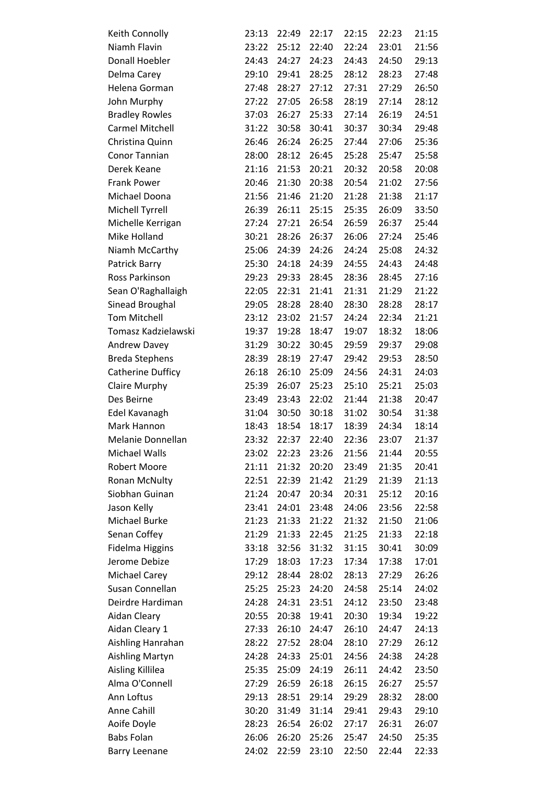| Keith Connolly                          | 23:13          | 22:49          | 22:17          | 22:15          | 22:23          | 21:15          |
|-----------------------------------------|----------------|----------------|----------------|----------------|----------------|----------------|
| Niamh Flavin                            | 23:22          | 25:12          | 22:40          | 22:24          | 23:01          | 21:56          |
| Donall Hoebler                          | 24:43          | 24:27          | 24:23          | 24:43          | 24:50          | 29:13          |
| Delma Carey                             | 29:10          | 29:41          | 28:25          | 28:12          | 28:23          | 27:48          |
| Helena Gorman                           | 27:48          | 28:27          | 27:12          | 27:31          | 27:29          | 26:50          |
| John Murphy                             | 27:22          | 27:05          | 26:58          | 28:19          | 27:14          | 28:12          |
| <b>Bradley Rowles</b>                   | 37:03          | 26:27          | 25:33          | 27:14          | 26:19          | 24:51          |
| <b>Carmel Mitchell</b>                  | 31:22          | 30:58          | 30:41          | 30:37          | 30:34          | 29:48          |
| Christina Quinn                         | 26:46          | 26:24          | 26:25          | 27:44          | 27:06          | 25:36          |
| <b>Conor Tannian</b>                    | 28:00          | 28:12          | 26:45          | 25:28          | 25:47          | 25:58          |
| Derek Keane                             | 21:16          | 21:53          | 20:21          | 20:32          | 20:58          | 20:08          |
| <b>Frank Power</b>                      | 20:46          | 21:30          | 20:38          | 20:54          | 21:02          | 27:56          |
| Michael Doona                           | 21:56          | 21:46          | 21:20          | 21:28          | 21:38          | 21:17          |
| Michell Tyrrell                         | 26:39          | 26:11          | 25:15          | 25:35          | 26:09          | 33:50          |
| Michelle Kerrigan                       | 27:24          | 27:21          | 26:54          | 26:59          | 26:37          | 25:44          |
| Mike Holland                            | 30:21          | 28:26          | 26:37          | 26:06          | 27:24          | 25:46          |
| Niamh McCarthy                          | 25:06          | 24:39          | 24:26          | 24:24          | 25:08          | 24:32          |
| Patrick Barry                           | 25:30          | 24:18          | 24:39          | 24:55          | 24:43          | 24:48          |
| Ross Parkinson                          | 29:23          | 29:33          | 28:45          | 28:36          | 28:45          | 27:16          |
| Sean O'Raghallaigh                      | 22:05          | 22:31          | 21:41          | 21:31          | 21:29          | 21:22          |
| Sinead Broughal                         | 29:05          | 28:28          | 28:40          | 28:30          | 28:28          | 28:17          |
| <b>Tom Mitchell</b>                     | 23:12          | 23:02          | 21:57          | 24:24          | 22:34          | 21:21          |
| Tomasz Kadzielawski                     | 19:37          | 19:28          | 18:47          | 19:07          | 18:32          | 18:06          |
| <b>Andrew Davey</b>                     | 31:29          | 30:22          | 30:45          | 29:59          | 29:37          | 29:08          |
| <b>Breda Stephens</b>                   | 28:39          | 28:19          | 27:47          | 29:42          | 29:53          | 28:50          |
| Catherine Dufficy                       | 26:18          | 26:10          | 25:09          | 24:56          | 24:31          | 24:03          |
| <b>Claire Murphy</b>                    | 25:39          | 26:07          | 25:23          | 25:10          | 25:21          | 25:03          |
| Des Beirne                              | 23:49          | 23:43          | 22:02          | 21:44          | 21:38          | 20:47          |
| Edel Kavanagh                           | 31:04          | 30:50          | 30:18          | 31:02          | 30:54          | 31:38          |
| Mark Hannon                             | 18:43          | 18:54          | 18:17          | 18:39          | 24:34          | 18:14          |
| Melanie Donnellan                       | 23:32          | 22:37          | 22:40          | 22:36          | 23:07          | 21:37          |
| Michael Walls                           | 23:02          | 22:23          | 23:26          | 21:56          | 21:44          | 20:55          |
| Robert Moore                            | 21:11          | 21:32          | 20:20          | 23:49          | 21:35          | 20:41          |
| Ronan McNulty                           | 22:51          | 22:39          | 21:42          | 21:29          | 21:39          | 21:13          |
| Siobhan Guinan                          | 21:24          | 20:47          | 20:34          | 20:31          | 25:12          | 20:16          |
|                                         | 23:41          | 24:01          | 23:48          | 24:06          |                |                |
| Jason Kelly<br>Michael Burke            |                |                |                |                | 23:56          | 22:58          |
|                                         | 21:23          | 21:33          | 21:22          | 21:32          | 21:50          | 21:06          |
| Senan Coffey                            | 21:29          | 21:33          | 22:45          | 21:25          | 21:33          | 22:18          |
| <b>Fidelma Higgins</b><br>Jerome Debize | 33:18<br>17:29 | 32:56<br>18:03 | 31:32<br>17:23 | 31:15<br>17:34 | 30:41<br>17:38 | 30:09<br>17:01 |
|                                         | 29:12          |                | 28:02          |                |                | 26:26          |
| <b>Michael Carey</b><br>Susan Connellan |                | 28:44          |                | 28:13          | 27:29          |                |
|                                         | 25:25          | 25:23          | 24:20          | 24:58          | 25:14          | 24:02          |
| Deirdre Hardiman                        | 24:28          | 24:31          | 23:51          | 24:12          | 23:50          | 23:48          |
| Aidan Cleary                            | 20:55          | 20:38          | 19:41          | 20:30          | 19:34          | 19:22          |
| Aidan Cleary 1                          | 27:33          | 26:10          | 24:47          | 26:10          | 24:47          | 24:13          |
| Aishling Hanrahan                       | 28:22          | 27:52          | 28:04          | 28:10          | 27:29          | 26:12          |
| <b>Aishling Martyn</b>                  | 24:28          | 24:33          | 25:01          | 24:56          | 24:38          | 24:28          |
| Aisling Killilea                        | 25:35          | 25:09          | 24:19          | 26:11          | 24:42          | 23:50          |
| Alma O'Connell                          | 27:29          | 26:59          | 26:18          | 26:15          | 26:27          | 25:57          |
| Ann Loftus                              | 29:13          | 28:51          | 29:14          | 29:29          | 28:32          | 28:00          |
| Anne Cahill                             | 30:20          | 31:49          | 31:14          | 29:41          | 29:43          | 29:10          |
| Aoife Doyle                             | 28:23          | 26:54          | 26:02          | 27:17          | 26:31          | 26:07          |
| <b>Babs Folan</b>                       | 26:06          | 26:20          | 25:26          | 25:47          | 24:50          | 25:35          |
| <b>Barry Leenane</b>                    | 24:02          | 22:59          | 23:10          | 22:50          | 22:44          | 22:33          |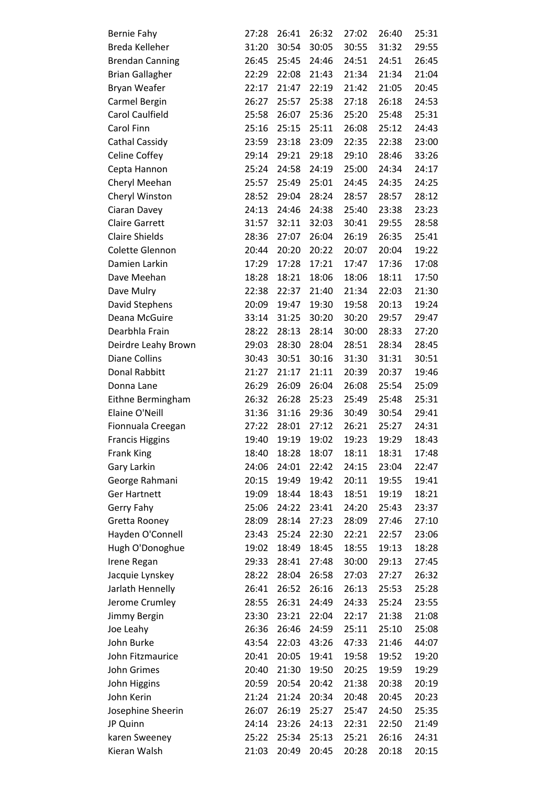| <b>Bernie Fahy</b>     | 27:28 | 26:41 | 26:32 | 27:02 | 26:40 | 25:31 |
|------------------------|-------|-------|-------|-------|-------|-------|
| Breda Kelleher         | 31:20 | 30:54 | 30:05 | 30:55 | 31:32 | 29:55 |
| <b>Brendan Canning</b> | 26:45 | 25:45 | 24:46 | 24:51 | 24:51 | 26:45 |
| <b>Brian Gallagher</b> | 22:29 | 22:08 | 21:43 | 21:34 | 21:34 | 21:04 |
| Bryan Weafer           | 22:17 | 21:47 | 22:19 | 21:42 | 21:05 | 20:45 |
| Carmel Bergin          | 26:27 | 25:57 | 25:38 | 27:18 | 26:18 | 24:53 |
| <b>Carol Caulfield</b> | 25:58 | 26:07 | 25:36 | 25:20 | 25:48 | 25:31 |
| Carol Finn             | 25:16 | 25:15 | 25:11 | 26:08 | 25:12 | 24:43 |
| <b>Cathal Cassidy</b>  | 23:59 | 23:18 | 23:09 | 22:35 | 22:38 | 23:00 |
| <b>Celine Coffey</b>   | 29:14 | 29:21 | 29:18 | 29:10 | 28:46 | 33:26 |
| Cepta Hannon           | 25:24 | 24:58 | 24:19 | 25:00 | 24:34 | 24:17 |
| Cheryl Meehan          | 25:57 | 25:49 | 25:01 | 24:45 | 24:35 | 24:25 |
| Cheryl Winston         | 28:52 | 29:04 | 28:24 | 28:57 | 28:57 | 28:12 |
| Ciaran Davey           | 24:13 | 24:46 | 24:38 | 25:40 | 23:38 | 23:23 |
| <b>Claire Garrett</b>  | 31:57 | 32:11 | 32:03 | 30:41 | 29:55 | 28:58 |
| <b>Claire Shields</b>  | 28:36 | 27:07 | 26:04 | 26:19 | 26:35 | 25:41 |
| Colette Glennon        | 20:44 | 20:20 | 20:22 | 20:07 | 20:04 | 19:22 |
| Damien Larkin          | 17:29 | 17:28 | 17:21 | 17:47 | 17:36 | 17:08 |
| Dave Meehan            | 18:28 | 18:21 | 18:06 | 18:06 | 18:11 | 17:50 |
| Dave Mulry             | 22:38 | 22:37 | 21:40 | 21:34 | 22:03 | 21:30 |
| David Stephens         | 20:09 | 19:47 | 19:30 | 19:58 | 20:13 | 19:24 |
| Deana McGuire          | 33:14 | 31:25 | 30:20 | 30:20 | 29:57 | 29:47 |
| Dearbhla Frain         | 28:22 | 28:13 | 28:14 | 30:00 | 28:33 | 27:20 |
| Deirdre Leahy Brown    | 29:03 | 28:30 | 28:04 | 28:51 | 28:34 | 28:45 |
| <b>Diane Collins</b>   | 30:43 | 30:51 | 30:16 | 31:30 | 31:31 | 30:51 |
| <b>Donal Rabbitt</b>   | 21:27 | 21:17 | 21:11 | 20:39 | 20:37 | 19:46 |
| Donna Lane             | 26:29 | 26:09 | 26:04 | 26:08 | 25:54 | 25:09 |
| Eithne Bermingham      | 26:32 | 26:28 | 25:23 | 25:49 | 25:48 | 25:31 |
| Elaine O'Neill         | 31:36 | 31:16 | 29:36 | 30:49 | 30:54 | 29:41 |
| Fionnuala Creegan      | 27:22 | 28:01 | 27:12 | 26:21 | 25:27 | 24:31 |
| <b>Francis Higgins</b> | 19:40 | 19:19 | 19:02 | 19:23 | 19:29 | 18:43 |
| <b>Frank King</b>      | 18:40 | 18:28 | 18:07 | 18:11 | 18:31 | 17:48 |
| Gary Larkin            | 24:06 | 24:01 | 22:42 | 24:15 | 23:04 | 22:47 |
| George Rahmani         | 20:15 | 19:49 | 19:42 | 20:11 | 19:55 | 19:41 |
| <b>Ger Hartnett</b>    | 19:09 | 18:44 | 18:43 | 18:51 | 19:19 | 18:21 |
| Gerry Fahy             | 25:06 | 24:22 | 23:41 | 24:20 | 25:43 | 23:37 |
| Gretta Rooney          | 28:09 | 28:14 | 27:23 | 28:09 | 27:46 | 27:10 |
| Hayden O'Connell       | 23:43 | 25:24 | 22:30 | 22:21 | 22:57 | 23:06 |
| Hugh O'Donoghue        | 19:02 | 18:49 | 18:45 | 18:55 | 19:13 | 18:28 |
| Irene Regan            | 29:33 | 28:41 | 27:48 | 30:00 | 29:13 | 27:45 |
| Jacquie Lynskey        | 28:22 | 28:04 | 26:58 | 27:03 | 27:27 | 26:32 |
| Jarlath Hennelly       | 26:41 | 26:52 | 26:16 | 26:13 | 25:53 | 25:28 |
| Jerome Crumley         | 28:55 | 26:31 | 24:49 | 24:33 | 25:24 | 23:55 |
| Jimmy Bergin           | 23:30 | 23:21 | 22:04 | 22:17 | 21:38 | 21:08 |
| Joe Leahy              | 26:36 | 26:46 | 24:59 | 25:11 | 25:10 | 25:08 |
| John Burke             | 43:54 | 22:03 | 43:26 | 47:33 | 21:46 | 44:07 |
| John Fitzmaurice       | 20:41 | 20:05 | 19:41 | 19:58 | 19:52 | 19:20 |
| John Grimes            | 20:40 | 21:30 | 19:50 | 20:25 | 19:59 | 19:29 |
| John Higgins           | 20:59 | 20:54 | 20:42 | 21:38 | 20:38 | 20:19 |
| John Kerin             | 21:24 | 21:24 | 20:34 | 20:48 | 20:45 | 20:23 |
| Josephine Sheerin      | 26:07 | 26:19 | 25:27 | 25:47 | 24:50 | 25:35 |
| JP Quinn               | 24:14 | 23:26 | 24:13 | 22:31 | 22:50 | 21:49 |
| karen Sweeney          | 25:22 | 25:34 | 25:13 | 25:21 | 26:16 | 24:31 |
| Kieran Walsh           | 21:03 | 20:49 | 20:45 | 20:28 | 20:18 | 20:15 |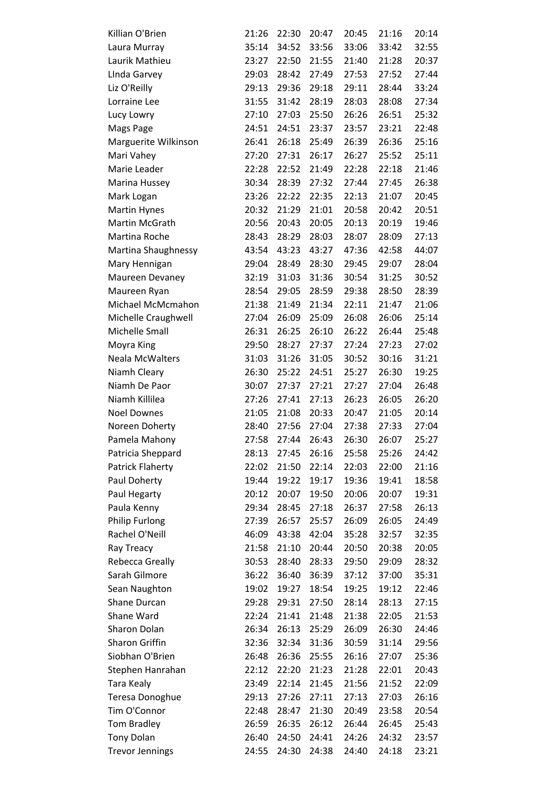| Killian O'Brien         | 21:26 | 22:30 | 20:47 | 20:45 | 21:16 | 20:14 |
|-------------------------|-------|-------|-------|-------|-------|-------|
| Laura Murray            | 35:14 | 34:52 | 33:56 | 33:06 | 33:42 | 32:55 |
| Laurik Mathieu          | 23:27 | 22:50 | 21:55 | 21:40 | 21:28 | 20:37 |
| Linda Garvey            | 29:03 | 28:42 | 27:49 | 27:53 | 27:52 | 27:44 |
| Liz O'Reilly            | 29:13 | 29:36 | 29:18 | 29:11 | 28:44 | 33:24 |
| Lorraine Lee            | 31:55 | 31:42 | 28:19 | 28:03 | 28:08 | 27:34 |
| Lucy Lowry              | 27:10 | 27:03 | 25:50 | 26:26 | 26:51 | 25:32 |
| Mags Page               | 24:51 | 24:51 | 23:37 | 23:57 | 23:21 | 22:48 |
| Marguerite Wilkinson    | 26:41 | 26:18 | 25:49 | 26:39 | 26:36 | 25:16 |
| Mari Vahey              | 27:20 | 27:31 | 26:17 | 26:27 | 25:52 | 25:11 |
| Marie Leader            | 22:28 | 22:52 | 21:49 | 22:28 | 22:18 | 21:46 |
| Marina Hussey           | 30:34 | 28:39 | 27:32 | 27:44 | 27:45 | 26:38 |
| Mark Logan              | 23:26 | 22:22 | 22:35 | 22:13 | 21:07 | 20:45 |
| <b>Martin Hynes</b>     | 20:32 | 21:29 | 21:01 | 20:58 | 20:42 | 20:51 |
| Martin McGrath          | 20:56 | 20:43 | 20:05 | 20:13 | 20:19 | 19:46 |
| Martina Roche           | 28:43 | 28:29 | 28:03 | 28:07 | 28:09 | 27:13 |
| Martina Shaughnessy     | 43:54 | 43:23 | 43:27 | 47:36 | 42:58 | 44:07 |
| Mary Hennigan           | 29:04 | 28:49 | 28:30 | 29:45 | 29:07 | 28:04 |
| Maureen Devaney         | 32:19 | 31:03 | 31:36 | 30:54 | 31:25 | 30:52 |
| Maureen Ryan            | 28:54 | 29:05 | 28:59 | 29:38 | 28:50 | 28:39 |
| Michael McMcmahon       | 21:38 | 21:49 | 21:34 | 22:11 | 21:47 | 21:06 |
| Michelle Craughwell     | 27:04 | 26:09 | 25:09 | 26:08 | 26:06 | 25:14 |
| Michelle Small          | 26:31 | 26:25 | 26:10 | 26:22 | 26:44 | 25:48 |
| Moyra King              | 29:50 | 28:27 | 27:37 | 27:24 | 27:23 | 27:02 |
| <b>Neala McWalters</b>  | 31:03 | 31:26 | 31:05 | 30:52 | 30:16 | 31:21 |
| Niamh Cleary            | 26:30 | 25:22 | 24:51 | 25:27 | 26:30 | 19:25 |
| Niamh De Paor           | 30:07 | 27:37 | 27:21 | 27:27 | 27:04 | 26:48 |
| Niamh Killilea          | 27:26 | 27:41 | 27:13 | 26:23 | 26:05 | 26:20 |
| <b>Noel Downes</b>      | 21:05 | 21:08 | 20:33 | 20:47 | 21:05 | 20:14 |
| Noreen Doherty          | 28:40 | 27:56 | 27:04 | 27:38 | 27:33 | 27:04 |
| Pamela Mahony           | 27:58 | 27:44 | 26:43 | 26:30 | 26:07 | 25:27 |
| Patricia Sheppard       | 28:13 | 27:45 | 26:16 | 25:58 | 25:26 | 24:42 |
| <b>Patrick Flaherty</b> | 22:02 | 21:50 | 22:14 | 22:03 | 22:00 | 21:16 |
| Paul Doherty            | 19:44 | 19:22 | 19:17 | 19:36 | 19:41 | 18:58 |
| Paul Hegarty            | 20:12 | 20:07 | 19:50 | 20:06 | 20:07 | 19:31 |
| Paula Kenny             | 29:34 | 28:45 | 27:18 | 26:37 | 27:58 | 26:13 |
| <b>Philip Furlong</b>   | 27:39 | 26:57 | 25:57 | 26:09 | 26:05 | 24:49 |
| Rachel O'Neill          | 46:09 | 43:38 | 42:04 | 35:28 | 32:57 | 32:35 |
| Ray Treacy              | 21:58 | 21:10 | 20:44 | 20:50 | 20:38 | 20:05 |
| Rebecca Greally         | 30:53 | 28:40 | 28:33 | 29:50 | 29:09 | 28:32 |
| Sarah Gilmore           | 36:22 | 36:40 | 36:39 | 37:12 | 37:00 | 35:31 |
| Sean Naughton           | 19:02 | 19:27 | 18:54 | 19:25 | 19:12 | 22:46 |
| Shane Durcan            | 29:28 | 29:31 | 27:50 | 28:14 | 28:13 | 27:15 |
| Shane Ward              | 22:24 | 21:41 | 21:48 | 21:38 | 22:05 | 21:53 |
| Sharon Dolan            | 26:34 | 26:13 | 25:29 | 26:09 | 26:30 | 24:46 |
| Sharon Griffin          | 32:36 | 32:34 | 31:36 | 30:59 | 31:14 | 29:56 |
| Siobhan O'Brien         | 26:48 | 26:36 | 25:55 | 26:16 | 27:07 | 25:36 |
| Stephen Hanrahan        | 22:12 | 22:20 | 21:23 | 21:28 | 22:01 | 20:43 |
| Tara Kealy              | 23:49 | 22:14 | 21:45 | 21:56 | 21:52 | 22:09 |
| Teresa Donoghue         | 29:13 | 27:26 | 27:11 | 27:13 | 27:03 | 26:16 |
| Tim O'Connor            | 22:48 | 28:47 | 21:30 | 20:49 | 23:58 | 20:54 |
| Tom Bradley             | 26:59 | 26:35 | 26:12 | 26:44 | 26:45 | 25:43 |
| <b>Tony Dolan</b>       | 26:40 | 24:50 | 24:41 | 24:26 | 24:32 | 23:57 |
| <b>Trevor Jennings</b>  | 24:55 | 24:30 | 24:38 | 24:40 | 24:18 | 23:21 |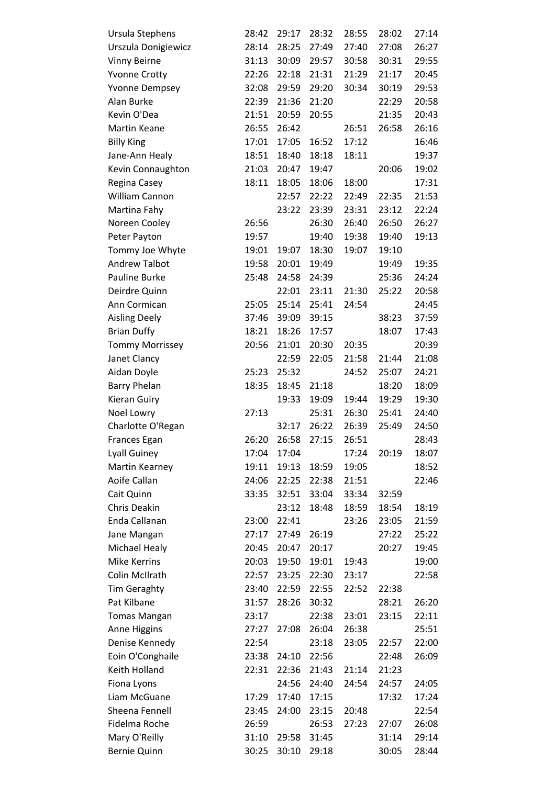| Ursula Stephens        | 28:42 | 29:17 | 28:32 | 28:55 | 28:02 | 27:14 |
|------------------------|-------|-------|-------|-------|-------|-------|
| Urszula Donigiewicz    | 28:14 | 28:25 | 27:49 | 27:40 | 27:08 | 26:27 |
| <b>Vinny Beirne</b>    | 31:13 | 30:09 | 29:57 | 30:58 | 30:31 | 29:55 |
| <b>Yvonne Crotty</b>   | 22:26 | 22:18 | 21:31 | 21:29 | 21:17 | 20:45 |
| <b>Yvonne Dempsey</b>  | 32:08 | 29:59 | 29:20 | 30:34 | 30:19 | 29:53 |
| Alan Burke             | 22:39 | 21:36 | 21:20 |       | 22:29 | 20:58 |
| Kevin O'Dea            | 21:51 | 20:59 | 20:55 |       | 21:35 | 20:43 |
| <b>Martin Keane</b>    | 26:55 | 26:42 |       | 26:51 | 26:58 | 26:16 |
| <b>Billy King</b>      | 17:01 | 17:05 | 16:52 | 17:12 |       | 16:46 |
| Jane-Ann Healy         | 18:51 | 18:40 | 18:18 | 18:11 |       | 19:37 |
| Kevin Connaughton      | 21:03 | 20:47 | 19:47 |       | 20:06 | 19:02 |
| Regina Casey           | 18:11 | 18:05 | 18:06 | 18:00 |       | 17:31 |
| William Cannon         |       | 22:57 | 22:22 | 22:49 | 22:35 | 21:53 |
| Martina Fahy           |       | 23:22 | 23:39 | 23:31 | 23:12 | 22:24 |
| Noreen Cooley          | 26:56 |       | 26:30 | 26:40 | 26:50 | 26:27 |
| Peter Payton           | 19:57 |       | 19:40 | 19:38 | 19:40 | 19:13 |
| Tommy Joe Whyte        | 19:01 | 19:07 | 18:30 | 19:07 | 19:10 |       |
| <b>Andrew Talbot</b>   | 19:58 | 20:01 | 19:49 |       | 19:49 | 19:35 |
| Pauline Burke          | 25:48 | 24:58 | 24:39 |       | 25:36 | 24:24 |
| Deirdre Quinn          |       | 22:01 | 23:11 | 21:30 | 25:22 | 20:58 |
| Ann Cormican           | 25:05 | 25:14 | 25:41 | 24:54 |       | 24:45 |
| <b>Aisling Deely</b>   | 37:46 | 39:09 | 39:15 |       | 38:23 | 37:59 |
| <b>Brian Duffy</b>     | 18:21 | 18:26 | 17:57 |       | 18:07 | 17:43 |
| <b>Tommy Morrissey</b> | 20:56 | 21:01 | 20:30 | 20:35 |       | 20:39 |
| Janet Clancy           |       | 22:59 | 22:05 | 21:58 | 21:44 | 21:08 |
| Aidan Doyle            | 25:23 | 25:32 |       | 24:52 | 25:07 | 24:21 |
| <b>Barry Phelan</b>    | 18:35 | 18:45 | 21:18 |       | 18:20 | 18:09 |
| Kieran Guiry           |       | 19:33 | 19:09 | 19:44 | 19:29 | 19:30 |
| Noel Lowry             | 27:13 |       | 25:31 | 26:30 | 25:41 | 24:40 |
| Charlotte O'Regan      |       | 32:17 | 26:22 | 26:39 | 25:49 | 24:50 |
| <b>Frances Egan</b>    | 26:20 | 26:58 | 27:15 | 26:51 |       | 28:43 |
| <b>Lyall Guiney</b>    | 17:04 | 17:04 |       | 17:24 | 20:19 | 18:07 |
| Martin Kearney         | 19:11 | 19:13 | 18:59 | 19:05 |       | 18:52 |
| Aoife Callan           | 24:06 | 22:25 | 22:38 | 21:51 |       | 22:46 |
| Cait Quinn             | 33:35 | 32:51 | 33:04 | 33:34 | 32:59 |       |
| <b>Chris Deakin</b>    |       | 23:12 | 18:48 | 18:59 | 18:54 | 18:19 |
| Enda Callanan          | 23:00 | 22:41 |       | 23:26 | 23:05 | 21:59 |
| Jane Mangan            | 27:17 | 27:49 | 26:19 |       | 27:22 | 25:22 |
| Michael Healy          | 20:45 | 20:47 | 20:17 |       | 20:27 | 19:45 |
| <b>Mike Kerrins</b>    | 20:03 | 19:50 | 19:01 | 19:43 |       | 19:00 |
| Colin McIlrath         | 22:57 | 23:25 | 22:30 | 23:17 |       | 22:58 |
| <b>Tim Geraghty</b>    | 23:40 | 22:59 | 22:55 | 22:52 | 22:38 |       |
| Pat Kilbane            | 31:57 | 28:26 | 30:32 |       | 28:21 | 26:20 |
| <b>Tomas Mangan</b>    | 23:17 |       | 22:38 | 23:01 | 23:15 | 22:11 |
| <b>Anne Higgins</b>    | 27:27 | 27:08 | 26:04 | 26:38 |       | 25:51 |
| Denise Kennedy         | 22:54 |       | 23:18 | 23:05 | 22:57 | 22:00 |
| Eoin O'Conghaile       | 23:38 | 24:10 | 22:56 |       | 22:48 | 26:09 |
| Keith Holland          | 22:31 | 22:36 | 21:43 | 21:14 | 21:23 |       |
| Fiona Lyons            |       | 24:56 | 24:40 | 24:54 | 24:57 | 24:05 |
| Liam McGuane           | 17:29 | 17:40 | 17:15 |       | 17:32 | 17:24 |
| Sheena Fennell         | 23:45 | 24:00 | 23:15 | 20:48 |       | 22:54 |
| Fidelma Roche          | 26:59 |       | 26:53 | 27:23 | 27:07 | 26:08 |
| Mary O'Reilly          | 31:10 | 29:58 | 31:45 |       | 31:14 | 29:14 |
| <b>Bernie Quinn</b>    | 30:25 | 30:10 | 29:18 |       | 30:05 | 28:44 |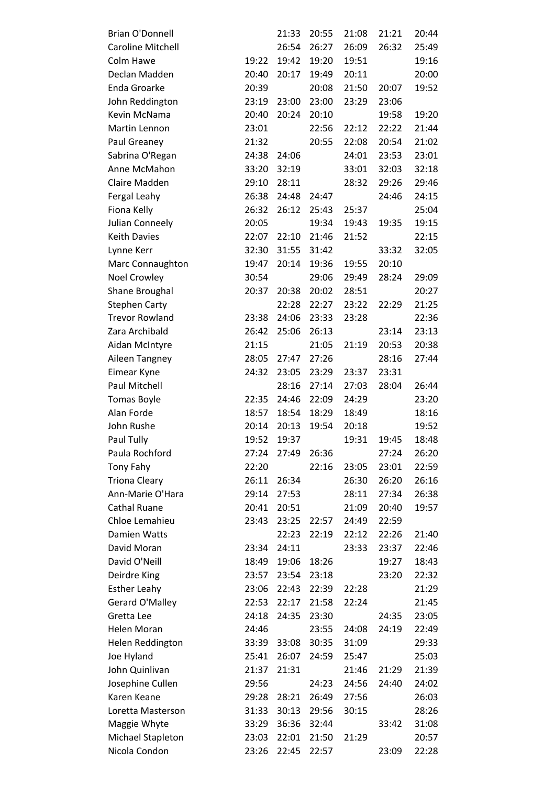| <b>Brian O'Donnell</b>   |       | 21:33 | 20:55 | 21:08 | 21:21 | 20:44 |
|--------------------------|-------|-------|-------|-------|-------|-------|
| <b>Caroline Mitchell</b> |       | 26:54 | 26:27 | 26:09 | 26:32 | 25:49 |
| Colm Hawe                | 19:22 | 19:42 | 19:20 | 19:51 |       | 19:16 |
| Declan Madden            | 20:40 | 20:17 | 19:49 | 20:11 |       | 20:00 |
| Enda Groarke             | 20:39 |       | 20:08 | 21:50 | 20:07 | 19:52 |
| John Reddington          | 23:19 | 23:00 | 23:00 | 23:29 | 23:06 |       |
| Kevin McNama             | 20:40 | 20:24 | 20:10 |       | 19:58 | 19:20 |
| Martin Lennon            | 23:01 |       | 22:56 | 22:12 | 22:22 | 21:44 |
| Paul Greaney             | 21:32 |       | 20:55 | 22:08 | 20:54 | 21:02 |
| Sabrina O'Regan          | 24:38 | 24:06 |       | 24:01 | 23:53 | 23:01 |
| Anne McMahon             | 33:20 | 32:19 |       | 33:01 | 32:03 | 32:18 |
| Claire Madden            | 29:10 | 28:11 |       | 28:32 | 29:26 | 29:46 |
| Fergal Leahy             | 26:38 | 24:48 | 24:47 |       | 24:46 | 24:15 |
| Fiona Kelly              | 26:32 | 26:12 | 25:43 | 25:37 |       | 25:04 |
| Julian Conneely          | 20:05 |       | 19:34 | 19:43 | 19:35 | 19:15 |
| <b>Keith Davies</b>      | 22:07 | 22:10 | 21:46 | 21:52 |       | 22:15 |
| Lynne Kerr               | 32:30 | 31:55 | 31:42 |       | 33:32 | 32:05 |
| Marc Connaughton         | 19:47 | 20:14 | 19:36 | 19:55 | 20:10 |       |
| <b>Noel Crowley</b>      | 30:54 |       | 29:06 | 29:49 | 28:24 | 29:09 |
| Shane Broughal           | 20:37 | 20:38 | 20:02 | 28:51 |       | 20:27 |
| <b>Stephen Carty</b>     |       | 22:28 | 22:27 | 23:22 | 22:29 | 21:25 |
| <b>Trevor Rowland</b>    | 23:38 | 24:06 | 23:33 | 23:28 |       | 22:36 |
| Zara Archibald           | 26:42 | 25:06 | 26:13 |       | 23:14 | 23:13 |
| Aidan McIntyre           | 21:15 |       | 21:05 | 21:19 | 20:53 | 20:38 |
| Aileen Tangney           | 28:05 | 27:47 | 27:26 |       | 28:16 | 27:44 |
| Eimear Kyne              | 24:32 | 23:05 | 23:29 | 23:37 | 23:31 |       |
| Paul Mitchell            |       | 28:16 | 27:14 | 27:03 | 28:04 | 26:44 |
| <b>Tomas Boyle</b>       | 22:35 | 24:46 | 22:09 | 24:29 |       | 23:20 |
| Alan Forde               | 18:57 | 18:54 | 18:29 | 18:49 |       | 18:16 |
| John Rushe               | 20:14 | 20:13 | 19:54 | 20:18 |       | 19:52 |
| Paul Tully               | 19:52 | 19:37 |       | 19:31 | 19:45 | 18:48 |
| Paula Rochford           | 27:24 | 27:49 | 26:36 |       | 27:24 | 26:20 |
| Tony Fahy                | 22:20 |       | 22:16 | 23:05 | 23:01 | 22:59 |
| <b>Triona Cleary</b>     | 26:11 | 26:34 |       | 26:30 | 26:20 | 26:16 |
| Ann-Marie O'Hara         | 29:14 | 27:53 |       | 28:11 | 27:34 | 26:38 |
| <b>Cathal Ruane</b>      | 20:41 | 20:51 |       | 21:09 | 20:40 | 19:57 |
| Chloe Lemahieu           | 23:43 | 23:25 | 22:57 | 24:49 | 22:59 |       |
| <b>Damien Watts</b>      |       | 22:23 | 22:19 | 22:12 | 22:26 | 21:40 |
| David Moran              | 23:34 | 24:11 |       | 23:33 | 23:37 | 22:46 |
| David O'Neill            | 18:49 | 19:06 | 18:26 |       | 19:27 | 18:43 |
| Deirdre King             | 23:57 | 23:54 | 23:18 |       | 23:20 | 22:32 |
| <b>Esther Leahy</b>      | 23:06 | 22:43 | 22:39 | 22:28 |       | 21:29 |
| Gerard O'Malley          | 22:53 | 22:17 | 21:58 | 22:24 |       | 21:45 |
| Gretta Lee               | 24:18 | 24:35 | 23:30 |       | 24:35 | 23:05 |
| Helen Moran              | 24:46 |       | 23:55 | 24:08 | 24:19 | 22:49 |
| Helen Reddington         | 33:39 | 33:08 | 30:35 | 31:09 |       | 29:33 |
| Joe Hyland               | 25:41 | 26:07 | 24:59 | 25:47 |       | 25:03 |
| John Quinlivan           | 21:37 | 21:31 |       | 21:46 | 21:29 | 21:39 |
| Josephine Cullen         | 29:56 |       | 24:23 | 24:56 | 24:40 | 24:02 |
| Karen Keane              | 29:28 | 28:21 | 26:49 | 27:56 |       | 26:03 |
| Loretta Masterson        | 31:33 | 30:13 | 29:56 | 30:15 |       | 28:26 |
| Maggie Whyte             | 33:29 | 36:36 | 32:44 |       | 33:42 | 31:08 |
| Michael Stapleton        | 23:03 | 22:01 | 21:50 | 21:29 |       | 20:57 |
| Nicola Condon            | 23:26 | 22:45 | 22:57 |       | 23:09 | 22:28 |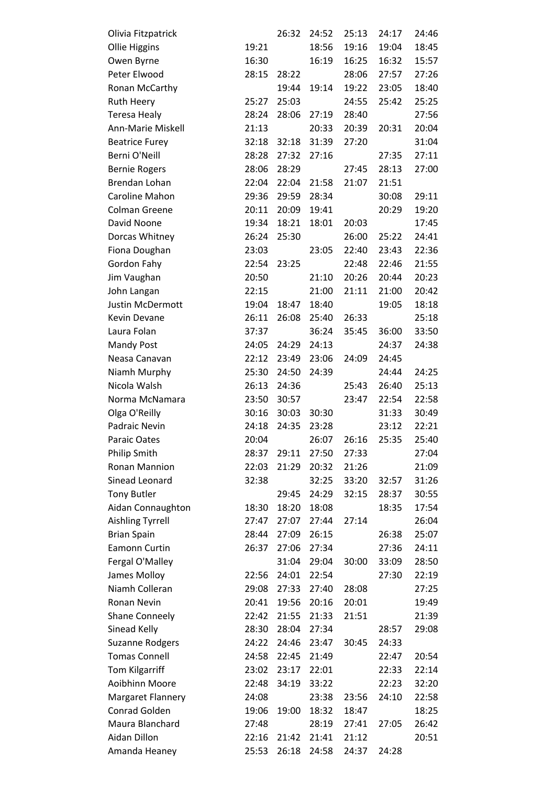| Olivia Fitzpatrick       |       | 26:32 | 24:52 | 25:13 | 24:17 | 24:46 |
|--------------------------|-------|-------|-------|-------|-------|-------|
| <b>Ollie Higgins</b>     | 19:21 |       | 18:56 | 19:16 | 19:04 | 18:45 |
| Owen Byrne               | 16:30 |       | 16:19 | 16:25 | 16:32 | 15:57 |
| Peter Elwood             | 28:15 | 28:22 |       | 28:06 | 27:57 | 27:26 |
| Ronan McCarthy           |       | 19:44 | 19:14 | 19:22 | 23:05 | 18:40 |
| <b>Ruth Heery</b>        | 25:27 | 25:03 |       | 24:55 | 25:42 | 25:25 |
| <b>Teresa Healy</b>      | 28:24 | 28:06 | 27:19 | 28:40 |       | 27:56 |
| Ann-Marie Miskell        | 21:13 |       | 20:33 | 20:39 | 20:31 | 20:04 |
| <b>Beatrice Furey</b>    | 32:18 | 32:18 | 31:39 | 27:20 |       | 31:04 |
| Berni O'Neill            | 28:28 | 27:32 | 27:16 |       | 27:35 | 27:11 |
| <b>Bernie Rogers</b>     | 28:06 | 28:29 |       | 27:45 | 28:13 | 27:00 |
| Brendan Lohan            | 22:04 | 22:04 | 21:58 | 21:07 | 21:51 |       |
| Caroline Mahon           | 29:36 | 29:59 | 28:34 |       | 30:08 | 29:11 |
| <b>Colman Greene</b>     | 20:11 | 20:09 | 19:41 |       | 20:29 | 19:20 |
| David Noone              | 19:34 | 18:21 | 18:01 | 20:03 |       | 17:45 |
| Dorcas Whitney           | 26:24 | 25:30 |       | 26:00 | 25:22 | 24:41 |
| Fiona Doughan            | 23:03 |       | 23:05 | 22:40 | 23:43 | 22:36 |
| Gordon Fahy              | 22:54 | 23:25 |       | 22:48 | 22:46 | 21:55 |
| Jim Vaughan              | 20:50 |       | 21:10 | 20:26 | 20:44 | 20:23 |
| John Langan              | 22:15 |       | 21:00 | 21:11 | 21:00 | 20:42 |
| <b>Justin McDermott</b>  | 19:04 | 18:47 | 18:40 |       | 19:05 | 18:18 |
| Kevin Devane             | 26:11 | 26:08 | 25:40 | 26:33 |       | 25:18 |
| Laura Folan              | 37:37 |       | 36:24 | 35:45 | 36:00 | 33:50 |
| <b>Mandy Post</b>        | 24:05 | 24:29 | 24:13 |       | 24:37 | 24:38 |
| Neasa Canavan            | 22:12 | 23:49 | 23:06 | 24:09 | 24:45 |       |
| Niamh Murphy             | 25:30 | 24:50 | 24:39 |       | 24:44 | 24:25 |
| Nicola Walsh             | 26:13 | 24:36 |       | 25:43 | 26:40 | 25:13 |
| Norma McNamara           | 23:50 | 30:57 |       | 23:47 | 22:54 | 22:58 |
| Olga O'Reilly            | 30:16 | 30:03 | 30:30 |       | 31:33 | 30:49 |
| Padraic Nevin            | 24:18 | 24:35 | 23:28 |       | 23:12 | 22:21 |
| Paraic Oates             | 20:04 |       | 26:07 | 26:16 | 25:35 | 25:40 |
| <b>Philip Smith</b>      | 28:37 | 29:11 | 27:50 | 27:33 |       | 27:04 |
| <b>Ronan Mannion</b>     | 22:03 | 21:29 | 20:32 | 21:26 |       | 21:09 |
| Sinead Leonard           | 32:38 |       | 32:25 | 33:20 | 32:57 | 31:26 |
| <b>Tony Butler</b>       |       | 29:45 | 24:29 | 32:15 | 28:37 | 30:55 |
| Aidan Connaughton        | 18:30 | 18:20 | 18:08 |       | 18:35 | 17:54 |
| <b>Aishling Tyrrell</b>  | 27:47 | 27:07 | 27:44 | 27:14 |       | 26:04 |
| <b>Brian Spain</b>       | 28:44 | 27:09 | 26:15 |       | 26:38 | 25:07 |
| Eamonn Curtin            | 26:37 | 27:06 | 27:34 |       | 27:36 | 24:11 |
| Fergal O'Malley          |       | 31:04 | 29:04 | 30:00 | 33:09 | 28:50 |
| James Molloy             | 22:56 | 24:01 | 22:54 |       | 27:30 | 22:19 |
| Niamh Colleran           | 29:08 | 27:33 | 27:40 | 28:08 |       | 27:25 |
| Ronan Nevin              | 20:41 | 19:56 | 20:16 | 20:01 |       | 19:49 |
| <b>Shane Conneely</b>    | 22:42 | 21:55 | 21:33 | 21:51 |       | 21:39 |
| Sinead Kelly             | 28:30 | 28:04 | 27:34 |       | 28:57 | 29:08 |
| <b>Suzanne Rodgers</b>   | 24:22 | 24:46 | 23:47 | 30:45 | 24:33 |       |
| <b>Tomas Connell</b>     | 24:58 | 22:45 | 21:49 |       | 22:47 | 20:54 |
| Tom Kilgarriff           | 23:02 | 23:17 | 22:01 |       | 22:33 | 22:14 |
| Aoibhinn Moore           | 22:48 | 34:19 | 33:22 |       | 22:23 | 32:20 |
| <b>Margaret Flannery</b> | 24:08 |       | 23:38 | 23:56 | 24:10 | 22:58 |
| <b>Conrad Golden</b>     | 19:06 | 19:00 | 18:32 | 18:47 |       | 18:25 |
| Maura Blanchard          | 27:48 |       | 28:19 | 27:41 | 27:05 | 26:42 |
| Aidan Dillon             | 22:16 | 21:42 | 21:41 | 21:12 |       | 20:51 |
| Amanda Heaney            | 25:53 | 26:18 | 24:58 | 24:37 | 24:28 |       |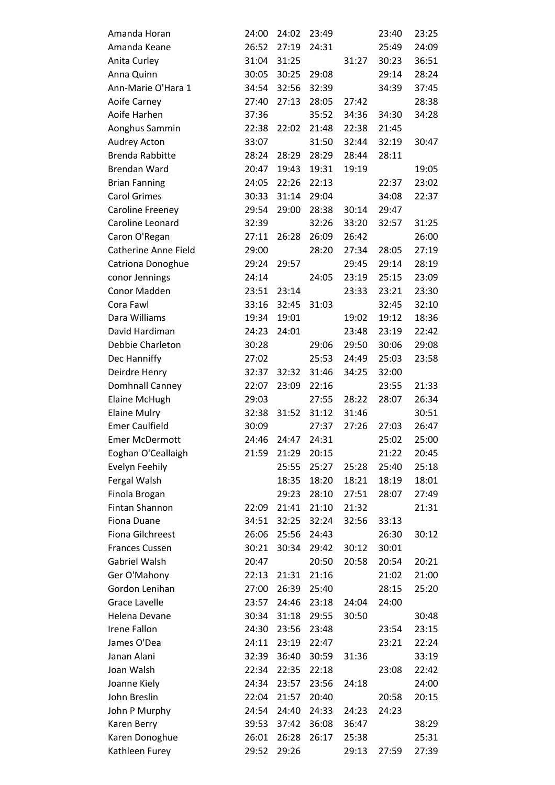| Amanda Horan                | 24:00 | 24:02 | 23:49 |       | 23:40 | 23:25 |
|-----------------------------|-------|-------|-------|-------|-------|-------|
| Amanda Keane                | 26:52 | 27:19 | 24:31 |       | 25:49 | 24:09 |
| Anita Curley                | 31:04 | 31:25 |       | 31:27 | 30:23 | 36:51 |
| Anna Quinn                  | 30:05 | 30:25 | 29:08 |       | 29:14 | 28:24 |
| Ann-Marie O'Hara 1          | 34:54 | 32:56 | 32:39 |       | 34:39 | 37:45 |
| Aoife Carney                | 27:40 | 27:13 | 28:05 | 27:42 |       | 28:38 |
| Aoife Harhen                | 37:36 |       | 35:52 | 34:36 | 34:30 | 34:28 |
| Aonghus Sammin              | 22:38 | 22:02 | 21:48 | 22:38 | 21:45 |       |
| <b>Audrey Acton</b>         | 33:07 |       | 31:50 | 32:44 | 32:19 | 30:47 |
| <b>Brenda Rabbitte</b>      | 28:24 | 28:29 | 28:29 | 28:44 | 28:11 |       |
| <b>Brendan Ward</b>         | 20:47 | 19:43 | 19:31 | 19:19 |       | 19:05 |
| <b>Brian Fanning</b>        | 24:05 | 22:26 | 22:13 |       | 22:37 | 23:02 |
| <b>Carol Grimes</b>         | 30:33 | 31:14 | 29:04 |       | 34:08 | 22:37 |
| Caroline Freeney            | 29:54 | 29:00 | 28:38 | 30:14 | 29:47 |       |
| Caroline Leonard            | 32:39 |       | 32:26 | 33:20 | 32:57 | 31:25 |
| Caron O'Regan               | 27:11 | 26:28 | 26:09 | 26:42 |       | 26:00 |
| <b>Catherine Anne Field</b> | 29:00 |       | 28:20 | 27:34 | 28:05 | 27:19 |
| Catriona Donoghue           | 29:24 | 29:57 |       | 29:45 | 29:14 | 28:19 |
| conor Jennings              | 24:14 |       | 24:05 | 23:19 | 25:15 | 23:09 |
| Conor Madden                | 23:51 | 23:14 |       | 23:33 | 23:21 | 23:30 |
| Cora Fawl                   | 33:16 | 32:45 | 31:03 |       | 32:45 | 32:10 |
| Dara Williams               | 19:34 | 19:01 |       | 19:02 | 19:12 | 18:36 |
| David Hardiman              | 24:23 | 24:01 |       | 23:48 | 23:19 | 22:42 |
| Debbie Charleton            | 30:28 |       | 29:06 | 29:50 | 30:06 | 29:08 |
| Dec Hanniffy                | 27:02 |       | 25:53 | 24:49 | 25:03 | 23:58 |
| Deirdre Henry               | 32:37 | 32:32 | 31:46 | 34:25 | 32:00 |       |
| Domhnall Canney             | 22:07 | 23:09 | 22:16 |       | 23:55 | 21:33 |
| Elaine McHugh               | 29:03 |       | 27:55 | 28:22 | 28:07 | 26:34 |
| <b>Elaine Mulry</b>         | 32:38 | 31:52 | 31:12 | 31:46 |       | 30:51 |
| <b>Emer Caulfield</b>       | 30:09 |       | 27:37 | 27:26 | 27:03 | 26:47 |
| <b>Emer McDermott</b>       | 24:46 | 24:47 | 24:31 |       | 25:02 | 25:00 |
| Eoghan O'Ceallaigh          | 21:59 | 21:29 | 20:15 |       | 21:22 | 20:45 |
| Evelyn Feehily              |       | 25:55 | 25:27 | 25:28 | 25:40 | 25:18 |
| Fergal Walsh                |       | 18:35 | 18:20 | 18:21 | 18:19 | 18:01 |
| Finola Brogan               |       | 29:23 | 28:10 | 27:51 | 28:07 | 27:49 |
| Fintan Shannon              | 22:09 | 21:41 | 21:10 | 21:32 |       | 21:31 |
| Fiona Duane                 | 34:51 | 32:25 | 32:24 | 32:56 | 33:13 |       |
| Fiona Gilchreest            | 26:06 | 25:56 | 24:43 |       | 26:30 | 30:12 |
| <b>Frances Cussen</b>       | 30:21 | 30:34 | 29:42 | 30:12 | 30:01 |       |
| Gabriel Walsh               | 20:47 |       | 20:50 | 20:58 | 20:54 | 20:21 |
| Ger O'Mahony                | 22:13 | 21:31 | 21:16 |       | 21:02 | 21:00 |
| Gordon Lenihan              | 27:00 | 26:39 | 25:40 |       | 28:15 | 25:20 |
| <b>Grace Lavelle</b>        | 23:57 | 24:46 | 23:18 | 24:04 | 24:00 |       |
| Helena Devane               | 30:34 | 31:18 | 29:55 | 30:50 |       | 30:48 |
| <b>Irene Fallon</b>         | 24:30 | 23:56 | 23:48 |       | 23:54 | 23:15 |
| James O'Dea                 | 24:11 | 23:19 | 22:47 |       | 23:21 | 22:24 |
| Janan Alani                 | 32:39 | 36:40 | 30:59 | 31:36 |       | 33:19 |
| Joan Walsh                  | 22:34 | 22:35 | 22:18 |       | 23:08 | 22:42 |
| Joanne Kiely                | 24:34 | 23:57 | 23:56 | 24:18 |       | 24:00 |
| John Breslin                | 22:04 | 21:57 | 20:40 |       | 20:58 | 20:15 |
| John P Murphy               | 24:54 | 24:40 | 24:33 | 24:23 | 24:23 |       |
| Karen Berry                 | 39:53 | 37:42 | 36:08 | 36:47 |       | 38:29 |
| Karen Donoghue              | 26:01 | 26:28 | 26:17 | 25:38 |       | 25:31 |
| Kathleen Furey              | 29:52 | 29:26 |       | 29:13 | 27:59 | 27:39 |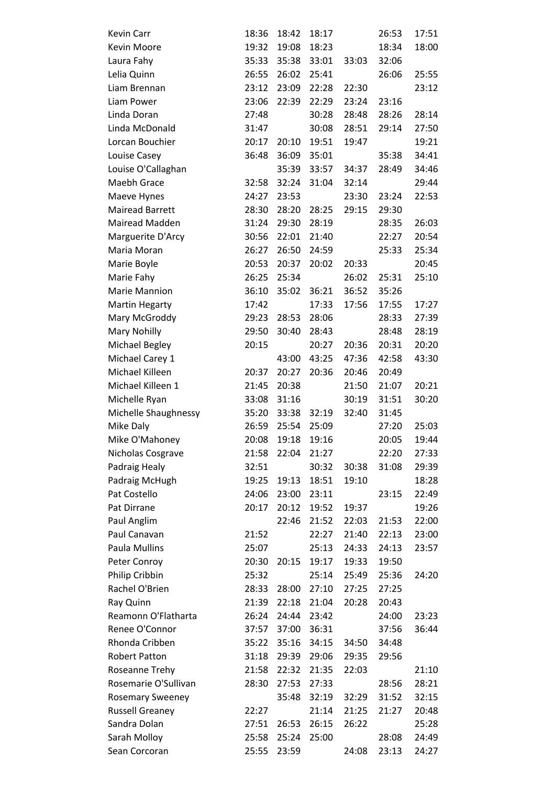| Kevin Carr              | 18:36 | 18:42 | 18:17 |       | 26:53 | 17:51 |
|-------------------------|-------|-------|-------|-------|-------|-------|
| Kevin Moore             | 19:32 | 19:08 | 18:23 |       | 18:34 | 18:00 |
| Laura Fahy              | 35:33 | 35:38 | 33:01 | 33:03 | 32:06 |       |
| Lelia Quinn             | 26:55 | 26:02 | 25:41 |       | 26:06 | 25:55 |
| Liam Brennan            | 23:12 | 23:09 | 22:28 | 22:30 |       | 23:12 |
| Liam Power              | 23:06 | 22:39 | 22:29 | 23:24 | 23:16 |       |
| Linda Doran             | 27:48 |       | 30:28 | 28:48 | 28:26 | 28:14 |
| Linda McDonald          | 31:47 |       | 30:08 | 28:51 | 29:14 | 27:50 |
| Lorcan Bouchier         | 20:17 | 20:10 | 19:51 | 19:47 |       | 19:21 |
| Louise Casey            | 36:48 | 36:09 | 35:01 |       | 35:38 | 34:41 |
| Louise O'Callaghan      |       | 35:39 | 33:57 | 34:37 | 28:49 | 34:46 |
| Maebh Grace             | 32:58 | 32:24 | 31:04 | 32:14 |       | 29:44 |
| Maeve Hynes             | 24:27 | 23:53 |       | 23:30 | 23:24 | 22:53 |
| <b>Mairead Barrett</b>  | 28:30 | 28:20 | 28:25 | 29:15 | 29:30 |       |
| Mairead Madden          | 31:24 | 29:30 | 28:19 |       | 28:35 | 26:03 |
| Marguerite D'Arcy       | 30:56 | 22:01 | 21:40 |       | 22:27 | 20:54 |
| Maria Moran             | 26:27 | 26:50 | 24:59 |       | 25:33 | 25:34 |
| Marie Boyle             | 20:53 | 20:37 | 20:02 | 20:33 |       | 20:45 |
| Marie Fahy              | 26:25 | 25:34 |       | 26:02 | 25:31 | 25:10 |
| Marie Mannion           | 36:10 | 35:02 | 36:21 | 36:52 | 35:26 |       |
| <b>Martin Hegarty</b>   | 17:42 |       | 17:33 | 17:56 | 17:55 | 17:27 |
| Mary McGroddy           | 29:23 | 28:53 | 28:06 |       | 28:33 | 27:39 |
| Mary Nohilly            | 29:50 | 30:40 | 28:43 |       | 28:48 | 28:19 |
| Michael Begley          | 20:15 |       | 20:27 | 20:36 | 20:31 | 20:20 |
| Michael Carey 1         |       | 43:00 | 43:25 | 47:36 | 42:58 | 43:30 |
| Michael Killeen         | 20:37 | 20:27 | 20:36 | 20:46 | 20:49 |       |
| Michael Killeen 1       | 21:45 | 20:38 |       | 21:50 | 21:07 | 20:21 |
| Michelle Ryan           | 33:08 | 31:16 |       | 30:19 | 31:51 | 30:20 |
| Michelle Shaughnessy    | 35:20 | 33:38 | 32:19 | 32:40 | 31:45 |       |
| Mike Daly               | 26:59 | 25:54 | 25:09 |       | 27:20 | 25:03 |
| Mike O'Mahoney          | 20:08 | 19:18 | 19:16 |       | 20:05 | 19:44 |
| Nicholas Cosgrave       | 21:58 | 22:04 | 21:27 |       | 22:20 | 27:33 |
| Padraig Healy           | 32:51 |       | 30:32 | 30:38 | 31:08 | 29:39 |
| Padraig McHugh          | 19:25 | 19:13 | 18:51 | 19:10 |       | 18:28 |
| Pat Costello            | 24:06 | 23:00 | 23:11 |       | 23:15 | 22:49 |
| Pat Dirrane             | 20:17 | 20:12 | 19:52 | 19:37 |       | 19:26 |
| Paul Anglim             |       | 22:46 | 21:52 | 22:03 | 21:53 | 22:00 |
| Paul Canavan            | 21:52 |       | 22:27 | 21:40 | 22:13 | 23:00 |
| Paula Mullins           | 25:07 |       | 25:13 | 24:33 | 24:13 | 23:57 |
| Peter Conroy            | 20:30 | 20:15 | 19:17 | 19:33 | 19:50 |       |
| Philip Cribbin          | 25:32 |       | 25:14 | 25:49 | 25:36 | 24:20 |
| Rachel O'Brien          | 28:33 | 28:00 | 27:10 | 27:25 | 27:25 |       |
| Ray Quinn               | 21:39 | 22:18 | 21:04 | 20:28 | 20:43 |       |
| Reamonn O'Flatharta     | 26:24 | 24:44 | 23:42 |       | 24:00 | 23:23 |
| Renee O'Connor          | 37:57 | 37:00 | 36:31 |       | 37:56 | 36:44 |
| Rhonda Cribben          | 35:22 | 35:16 | 34:15 | 34:50 | 34:48 |       |
| <b>Robert Patton</b>    | 31:18 | 29:39 | 29:06 | 29:35 | 29:56 |       |
| Roseanne Trehy          | 21:58 | 22:32 | 21:35 | 22:03 |       | 21:10 |
| Rosemarie O'Sullivan    | 28:30 | 27:53 | 27:33 |       | 28:56 | 28:21 |
| <b>Rosemary Sweeney</b> |       | 35:48 | 32:19 | 32:29 | 31:52 | 32:15 |
| <b>Russell Greaney</b>  | 22:27 |       | 21:14 | 21:25 | 21:27 | 20:48 |
| Sandra Dolan            | 27:51 | 26:53 | 26:15 | 26:22 |       | 25:28 |
| Sarah Molloy            | 25:58 | 25:24 | 25:00 |       | 28:08 | 24:49 |
| Sean Corcoran           | 25:55 | 23:59 |       | 24:08 | 23:13 | 24:27 |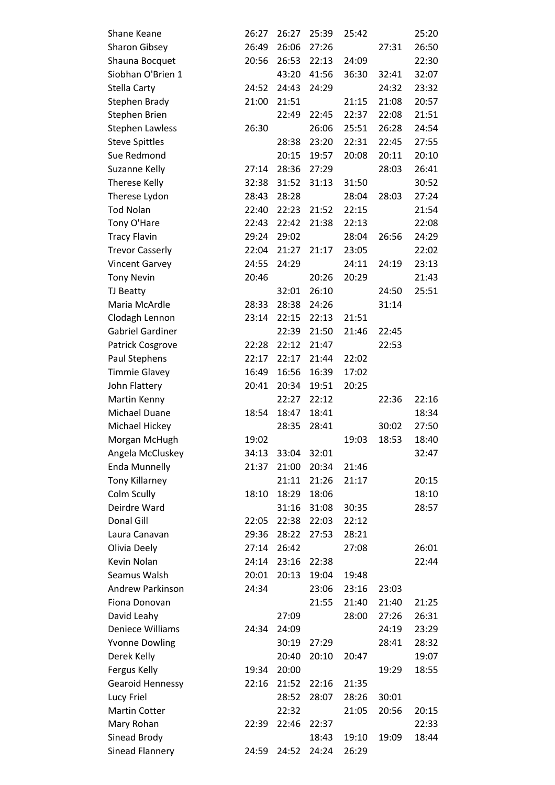| Shane Keane             | 26:27 | 26:27 | 25:39 | 25:42 |       | 25:20 |
|-------------------------|-------|-------|-------|-------|-------|-------|
| <b>Sharon Gibsey</b>    | 26:49 | 26:06 | 27:26 |       | 27:31 | 26:50 |
| Shauna Bocquet          | 20:56 | 26:53 | 22:13 | 24:09 |       | 22:30 |
| Siobhan O'Brien 1       |       | 43:20 | 41:56 | 36:30 | 32:41 | 32:07 |
| Stella Carty            | 24:52 | 24:43 | 24:29 |       | 24:32 | 23:32 |
| Stephen Brady           | 21:00 | 21:51 |       | 21:15 | 21:08 | 20:57 |
| Stephen Brien           |       | 22:49 | 22:45 | 22:37 | 22:08 | 21:51 |
| <b>Stephen Lawless</b>  | 26:30 |       | 26:06 | 25:51 | 26:28 | 24:54 |
| <b>Steve Spittles</b>   |       | 28:38 | 23:20 | 22:31 | 22:45 | 27:55 |
| Sue Redmond             |       | 20:15 | 19:57 | 20:08 | 20:11 | 20:10 |
| Suzanne Kelly           | 27:14 | 28:36 | 27:29 |       | 28:03 | 26:41 |
| <b>Therese Kelly</b>    | 32:38 | 31:52 | 31:13 | 31:50 |       | 30:52 |
| Therese Lydon           | 28:43 | 28:28 |       | 28:04 | 28:03 | 27:24 |
| <b>Tod Nolan</b>        | 22:40 | 22:23 | 21:52 | 22:15 |       | 21:54 |
| Tony O'Hare             | 22:43 | 22:42 | 21:38 | 22:13 |       | 22:08 |
| <b>Tracy Flavin</b>     | 29:24 | 29:02 |       | 28:04 | 26:56 | 24:29 |
| <b>Trevor Casserly</b>  | 22:04 | 21:27 | 21:17 | 23:05 |       | 22:02 |
| <b>Vincent Garvey</b>   | 24:55 | 24:29 |       | 24:11 | 24:19 | 23:13 |
| <b>Tony Nevin</b>       | 20:46 |       | 20:26 | 20:29 |       | 21:43 |
| TJ Beatty               |       | 32:01 | 26:10 |       | 24:50 | 25:51 |
| Maria McArdle           | 28:33 | 28:38 | 24:26 |       | 31:14 |       |
| Clodagh Lennon          | 23:14 | 22:15 | 22:13 | 21:51 |       |       |
| <b>Gabriel Gardiner</b> |       | 22:39 | 21:50 | 21:46 | 22:45 |       |
| Patrick Cosgrove        | 22:28 | 22:12 | 21:47 |       | 22:53 |       |
| Paul Stephens           | 22:17 | 22:17 | 21:44 | 22:02 |       |       |
| <b>Timmie Glavey</b>    | 16:49 | 16:56 | 16:39 | 17:02 |       |       |
| John Flattery           | 20:41 | 20:34 | 19:51 | 20:25 |       |       |
|                         |       |       |       |       |       |       |
| Martin Kenny            |       | 22:27 | 22:12 |       | 22:36 | 22:16 |
| Michael Duane           | 18:54 | 18:47 | 18:41 |       |       | 18:34 |
| Michael Hickey          |       | 28:35 | 28:41 |       | 30:02 | 27:50 |
| Morgan McHugh           | 19:02 |       |       | 19:03 | 18:53 | 18:40 |
| Angela McCluskey        | 34:13 | 33:04 | 32:01 |       |       | 32:47 |
| <b>Enda Munnelly</b>    | 21:37 | 21:00 | 20:34 | 21:46 |       |       |
| <b>Tony Killarney</b>   |       | 21:11 | 21:26 | 21:17 |       | 20:15 |
| Colm Scully             | 18:10 | 18:29 | 18:06 |       |       | 18:10 |
| Deirdre Ward            |       | 31:16 | 31:08 | 30:35 |       | 28:57 |
| Donal Gill              | 22:05 | 22:38 | 22:03 | 22:12 |       |       |
| Laura Canavan           | 29:36 | 28:22 | 27:53 | 28:21 |       |       |
| Olivia Deely            | 27:14 | 26:42 |       | 27:08 |       | 26:01 |
| Kevin Nolan             | 24:14 | 23:16 | 22:38 |       |       | 22:44 |
| Seamus Walsh            | 20:01 | 20:13 | 19:04 | 19:48 |       |       |
| <b>Andrew Parkinson</b> | 24:34 |       | 23:06 | 23:16 | 23:03 |       |
| Fiona Donovan           |       |       | 21:55 | 21:40 | 21:40 | 21:25 |
| David Leahy             |       | 27:09 |       | 28:00 | 27:26 | 26:31 |
| Deniece Williams        | 24:34 | 24:09 |       |       | 24:19 | 23:29 |
| <b>Yvonne Dowling</b>   |       | 30:19 | 27:29 |       | 28:41 | 28:32 |
| Derek Kelly             |       | 20:40 | 20:10 | 20:47 |       | 19:07 |
| Fergus Kelly            | 19:34 | 20:00 |       |       | 19:29 | 18:55 |
| <b>Gearoid Hennessy</b> | 22:16 | 21:52 | 22:16 | 21:35 |       |       |
| Lucy Friel              |       | 28:52 | 28:07 | 28:26 | 30:01 |       |
| <b>Martin Cotter</b>    |       | 22:32 |       | 21:05 | 20:56 | 20:15 |
| Mary Rohan              | 22:39 | 22:46 | 22:37 |       |       | 22:33 |
| Sinead Brody            |       |       | 18:43 | 19:10 | 19:09 | 18:44 |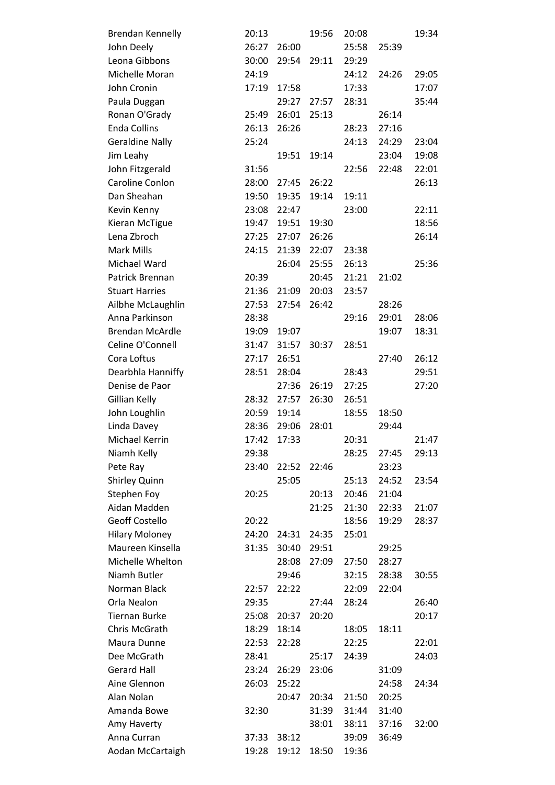| <b>Brendan Kennelly</b> | 20:13 |       | 19:56 | 20:08 |       | 19:34 |
|-------------------------|-------|-------|-------|-------|-------|-------|
| John Deely              | 26:27 | 26:00 |       | 25:58 | 25:39 |       |
| Leona Gibbons           | 30:00 | 29:54 | 29:11 | 29:29 |       |       |
| Michelle Moran          | 24:19 |       |       | 24:12 | 24:26 | 29:05 |
| John Cronin             | 17:19 | 17:58 |       | 17:33 |       | 17:07 |
| Paula Duggan            |       | 29:27 | 27:57 | 28:31 |       | 35:44 |
| Ronan O'Grady           | 25:49 | 26:01 | 25:13 |       | 26:14 |       |
| <b>Enda Collins</b>     | 26:13 | 26:26 |       | 28:23 | 27:16 |       |
| <b>Geraldine Nally</b>  | 25:24 |       |       | 24:13 | 24:29 | 23:04 |
| Jim Leahy               |       | 19:51 | 19:14 |       | 23:04 | 19:08 |
| John Fitzgerald         | 31:56 |       |       | 22:56 | 22:48 | 22:01 |
| Caroline Conlon         | 28:00 | 27:45 | 26:22 |       |       | 26:13 |
| Dan Sheahan             | 19:50 | 19:35 | 19:14 | 19:11 |       |       |
| Kevin Kenny             | 23:08 | 22:47 |       | 23:00 |       | 22:11 |
| Kieran McTigue          | 19:47 | 19:51 | 19:30 |       |       | 18:56 |
| Lena Zbroch             | 27:25 | 27:07 | 26:26 |       |       | 26:14 |
| Mark Mills              | 24:15 | 21:39 | 22:07 | 23:38 |       |       |
| Michael Ward            |       | 26:04 | 25:55 | 26:13 |       | 25:36 |
| Patrick Brennan         | 20:39 |       | 20:45 | 21:21 | 21:02 |       |
| <b>Stuart Harries</b>   | 21:36 | 21:09 | 20:03 | 23:57 |       |       |
| Ailbhe McLaughlin       | 27:53 | 27:54 | 26:42 |       | 28:26 |       |
| Anna Parkinson          | 28:38 |       |       | 29:16 | 29:01 | 28:06 |
| <b>Brendan McArdle</b>  | 19:09 | 19:07 |       |       | 19:07 | 18:31 |
| Celine O'Connell        | 31:47 | 31:57 | 30:37 | 28:51 |       |       |
| Cora Loftus             | 27:17 | 26:51 |       |       | 27:40 | 26:12 |
| Dearbhla Hanniffy       | 28:51 | 28:04 |       | 28:43 |       | 29:51 |
| Denise de Paor          |       | 27:36 | 26:19 | 27:25 |       | 27:20 |
| Gillian Kelly           | 28:32 | 27:57 | 26:30 | 26:51 |       |       |
| John Loughlin           | 20:59 | 19:14 |       | 18:55 | 18:50 |       |
| Linda Davey             | 28:36 | 29:06 | 28:01 |       | 29:44 |       |
| Michael Kerrin          | 17:42 | 17:33 |       | 20:31 |       | 21:47 |
| Niamh Kelly             | 29:38 |       |       | 28:25 | 27:45 | 29:13 |
| Pete Ray                | 23:40 | 22:52 | 22:46 |       | 23:23 |       |
| Shirley Quinn           |       | 25:05 |       | 25:13 | 24:52 | 23:54 |
| Stephen Foy             | 20:25 |       | 20:13 | 20:46 | 21:04 |       |
| Aidan Madden            |       |       | 21:25 | 21:30 | 22:33 | 21:07 |
| <b>Geoff Costello</b>   | 20:22 |       |       | 18:56 | 19:29 | 28:37 |
| <b>Hilary Moloney</b>   | 24:20 | 24:31 | 24:35 | 25:01 |       |       |
| Maureen Kinsella        | 31:35 | 30:40 | 29:51 |       | 29:25 |       |
| Michelle Whelton        |       | 28:08 | 27:09 | 27:50 | 28:27 |       |
| Niamh Butler            |       | 29:46 |       | 32:15 | 28:38 | 30:55 |
| Norman Black            | 22:57 | 22:22 |       | 22:09 | 22:04 |       |
| Orla Nealon             | 29:35 |       | 27:44 | 28:24 |       | 26:40 |
| <b>Tiernan Burke</b>    | 25:08 | 20:37 | 20:20 |       |       | 20:17 |
| Chris McGrath           | 18:29 | 18:14 |       | 18:05 | 18:11 |       |
| Maura Dunne             | 22:53 | 22:28 |       | 22:25 |       | 22:01 |
| Dee McGrath             | 28:41 |       | 25:17 | 24:39 |       | 24:03 |
| <b>Gerard Hall</b>      | 23:24 | 26:29 | 23:06 |       | 31:09 |       |
| Aine Glennon            | 26:03 | 25:22 |       |       | 24:58 | 24:34 |
| Alan Nolan              |       | 20:47 | 20:34 | 21:50 | 20:25 |       |
| Amanda Bowe             | 32:30 |       | 31:39 | 31:44 | 31:40 |       |
| Amy Haverty             |       |       | 38:01 | 38:11 | 37:16 | 32:00 |
| Anna Curran             | 37:33 | 38:12 |       | 39:09 | 36:49 |       |
| Aodan McCartaigh        | 19:28 | 19:12 | 18:50 | 19:36 |       |       |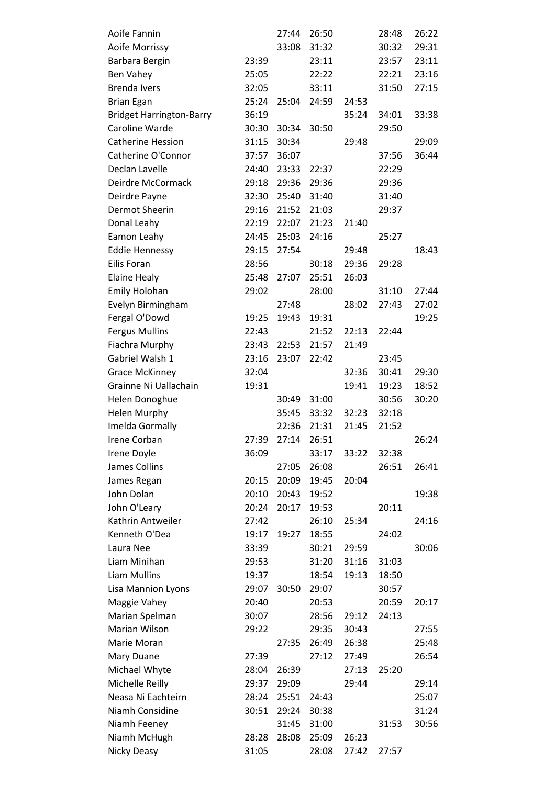| Aoife Fannin                    |       | 27:44 | 26:50 |       | 28:48 | 26:22 |
|---------------------------------|-------|-------|-------|-------|-------|-------|
| Aoife Morrissy                  |       | 33:08 | 31:32 |       | 30:32 | 29:31 |
| Barbara Bergin                  | 23:39 |       | 23:11 |       | 23:57 | 23:11 |
| Ben Vahey                       | 25:05 |       | 22:22 |       | 22:21 | 23:16 |
| <b>Brenda Ivers</b>             | 32:05 |       | 33:11 |       | 31:50 | 27:15 |
| <b>Brian Egan</b>               | 25:24 | 25:04 | 24:59 | 24:53 |       |       |
| <b>Bridget Harrington-Barry</b> | 36:19 |       |       | 35:24 | 34:01 | 33:38 |
| Caroline Warde                  | 30:30 | 30:34 | 30:50 |       | 29:50 |       |
| <b>Catherine Hession</b>        | 31:15 | 30:34 |       | 29:48 |       | 29:09 |
| Catherine O'Connor              | 37:57 | 36:07 |       |       | 37:56 | 36:44 |
| Declan Lavelle                  | 24:40 | 23:33 | 22:37 |       | 22:29 |       |
| Deirdre McCormack               | 29:18 | 29:36 | 29:36 |       | 29:36 |       |
| Deirdre Payne                   | 32:30 | 25:40 | 31:40 |       | 31:40 |       |
| Dermot Sheerin                  | 29:16 | 21:52 | 21:03 |       | 29:37 |       |
| Donal Leahy                     | 22:19 | 22:07 | 21:23 | 21:40 |       |       |
| Eamon Leahy                     | 24:45 | 25:03 | 24:16 |       | 25:27 |       |
| <b>Eddie Hennessy</b>           | 29:15 | 27:54 |       | 29:48 |       | 18:43 |
| Eilis Foran                     | 28:56 |       | 30:18 | 29:36 | 29:28 |       |
| <b>Elaine Healy</b>             | 25:48 | 27:07 | 25:51 | 26:03 |       |       |
| <b>Emily Holohan</b>            | 29:02 |       | 28:00 |       | 31:10 | 27:44 |
| Evelyn Birmingham               |       | 27:48 |       | 28:02 | 27:43 | 27:02 |
| Fergal O'Dowd                   | 19:25 | 19:43 | 19:31 |       |       | 19:25 |
| <b>Fergus Mullins</b>           | 22:43 |       | 21:52 | 22:13 | 22:44 |       |
| Fiachra Murphy                  | 23:43 | 22:53 | 21:57 | 21:49 |       |       |
| Gabriel Walsh 1                 | 23:16 | 23:07 | 22:42 |       | 23:45 |       |
| <b>Grace McKinney</b>           | 32:04 |       |       | 32:36 | 30:41 | 29:30 |
| Grainne Ni Uallachain           | 19:31 |       |       | 19:41 | 19:23 | 18:52 |
| Helen Donoghue                  |       | 30:49 | 31:00 |       | 30:56 | 30:20 |
| <b>Helen Murphy</b>             |       | 35:45 | 33:32 | 32:23 | 32:18 |       |
| Imelda Gormally                 |       | 22:36 | 21:31 | 21:45 | 21:52 |       |
| Irene Corban                    | 27:39 | 27:14 | 26:51 |       |       | 26:24 |
| Irene Doyle                     | 36:09 |       | 33:17 | 33:22 | 32:38 |       |
| James Collins                   |       | 27:05 | 26:08 |       | 26:51 | 26:41 |
| James Regan                     | 20:15 | 20:09 | 19:45 | 20:04 |       |       |
| John Dolan                      | 20:10 | 20:43 | 19:52 |       |       | 19:38 |
| John O'Leary                    | 20:24 | 20:17 | 19:53 |       | 20:11 |       |
| Kathrin Antweiler               | 27:42 |       | 26:10 | 25:34 |       | 24:16 |
| Kenneth O'Dea                   | 19:17 | 19:27 | 18:55 |       | 24:02 |       |
| Laura Nee                       | 33:39 |       | 30:21 | 29:59 |       | 30:06 |
| Liam Minihan                    | 29:53 |       | 31:20 | 31:16 | 31:03 |       |
| Liam Mullins                    | 19:37 |       | 18:54 | 19:13 | 18:50 |       |
| <b>Lisa Mannion Lyons</b>       | 29:07 | 30:50 | 29:07 |       | 30:57 |       |
| Maggie Vahey                    | 20:40 |       | 20:53 |       | 20:59 | 20:17 |
| Marian Spelman                  | 30:07 |       | 28:56 | 29:12 | 24:13 |       |
| Marian Wilson                   | 29:22 |       | 29:35 | 30:43 |       | 27:55 |
| Marie Moran                     |       | 27:35 | 26:49 | 26:38 |       | 25:48 |
| Mary Duane                      | 27:39 |       | 27:12 | 27:49 |       | 26:54 |
| Michael Whyte                   | 28:04 | 26:39 |       | 27:13 | 25:20 |       |
| Michelle Reilly                 | 29:37 | 29:09 |       | 29:44 |       | 29:14 |
| Neasa Ni Eachteirn              | 28:24 | 25:51 | 24:43 |       |       | 25:07 |
| Niamh Considine                 | 30:51 | 29:24 | 30:38 |       |       | 31:24 |
| Niamh Feeney                    |       | 31:45 | 31:00 |       | 31:53 | 30:56 |
| Niamh McHugh                    | 28:28 | 28:08 | 25:09 | 26:23 |       |       |
| Nicky Deasy                     | 31:05 |       | 28:08 | 27:42 | 27:57 |       |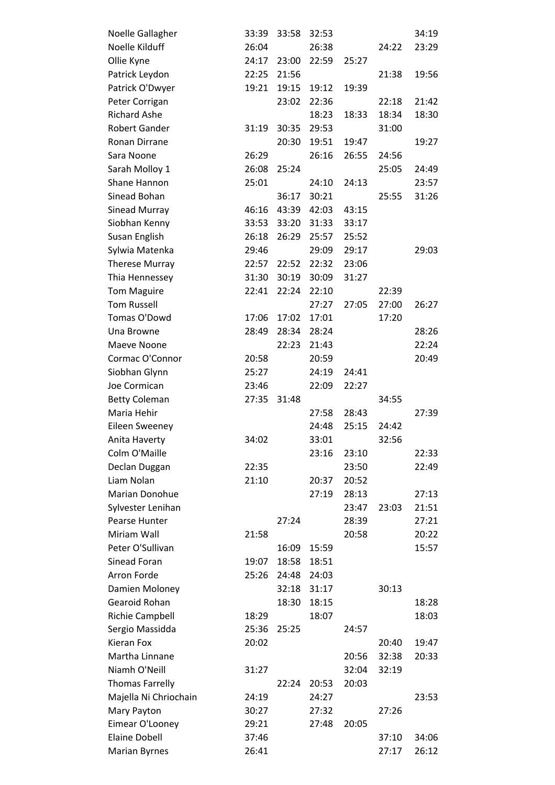| Noelle Gallagher                             | 33:39          | 33:58 | 32:53          |       |                | 34:19          |
|----------------------------------------------|----------------|-------|----------------|-------|----------------|----------------|
| Noelle Kilduff                               | 26:04          |       | 26:38          |       | 24:22          | 23:29          |
| Ollie Kyne                                   | 24:17          | 23:00 | 22:59          | 25:27 |                |                |
| Patrick Leydon                               | 22:25          | 21:56 |                |       | 21:38          | 19:56          |
| Patrick O'Dwyer                              | 19:21          | 19:15 | 19:12          | 19:39 |                |                |
| Peter Corrigan                               |                | 23:02 | 22:36          |       | 22:18          | 21:42          |
| <b>Richard Ashe</b>                          |                |       | 18:23          | 18:33 | 18:34          | 18:30          |
| <b>Robert Gander</b>                         | 31:19          | 30:35 | 29:53          |       | 31:00          |                |
| Ronan Dirrane                                |                | 20:30 | 19:51          | 19:47 |                | 19:27          |
| Sara Noone                                   | 26:29          |       | 26:16          | 26:55 | 24:56          |                |
| Sarah Molloy 1                               | 26:08          | 25:24 |                |       | 25:05          | 24:49          |
| Shane Hannon                                 | 25:01          |       | 24:10          | 24:13 |                | 23:57          |
| Sinead Bohan                                 |                | 36:17 | 30:21          |       | 25:55          | 31:26          |
| Sinead Murray                                | 46:16          | 43:39 | 42:03          | 43:15 |                |                |
| Siobhan Kenny                                | 33:53          | 33:20 | 31:33          | 33:17 |                |                |
| Susan English                                | 26:18          | 26:29 | 25:57          | 25:52 |                |                |
| Sylwia Matenka                               | 29:46          |       | 29:09          | 29:17 |                | 29:03          |
| <b>Therese Murray</b>                        | 22:57          | 22:52 | 22:32          | 23:06 |                |                |
| Thia Hennessey                               | 31:30          | 30:19 | 30:09          | 31:27 |                |                |
| <b>Tom Maguire</b>                           | 22:41          | 22:24 | 22:10          |       | 22:39          |                |
| <b>Tom Russell</b>                           |                |       | 27:27          | 27:05 | 27:00          | 26:27          |
| Tomas O'Dowd                                 | 17:06          | 17:02 | 17:01          |       | 17:20          |                |
| Una Browne                                   | 28:49          | 28:34 | 28:24          |       |                | 28:26          |
| Maeve Noone                                  |                | 22:23 | 21:43          |       |                | 22:24          |
| Cormac O'Connor                              | 20:58          |       | 20:59          |       |                | 20:49          |
| Siobhan Glynn                                | 25:27          |       | 24:19          | 24:41 |                |                |
| Joe Cormican                                 | 23:46          |       | 22:09          | 22:27 |                |                |
| <b>Betty Coleman</b>                         | 27:35          | 31:48 |                |       | 34:55          |                |
| Maria Hehir                                  |                |       | 27:58          | 28:43 |                | 27:39          |
| Eileen Sweeney                               |                |       | 24:48          | 25:15 | 24:42          |                |
| Anita Haverty                                | 34:02          |       | 33:01          |       | 32:56          |                |
| Colm O'Maille                                |                |       | 23:16          | 23:10 |                | 22:33          |
| Declan Duggan                                | 22:35          |       |                | 23:50 |                | 22:49          |
| Liam Nolan                                   | 21:10          |       | 20:37          | 20:52 |                |                |
| Marian Donohue                               |                |       | 27:19          | 28:13 |                | 27:13          |
| Sylvester Lenihan                            |                |       |                | 23:47 | 23:03          | 21:51          |
| Pearse Hunter                                |                | 27:24 |                | 28:39 |                | 27:21          |
| Miriam Wall                                  | 21:58          |       |                | 20:58 |                | 20:22          |
| Peter O'Sullivan                             |                | 16:09 | 15:59          |       |                | 15:57          |
| Sinead Foran                                 | 19:07          | 18:58 | 18:51          |       |                |                |
| Arron Forde                                  | 25:26          | 24:48 | 24:03          |       |                |                |
| Damien Moloney                               |                | 32:18 | 31:17          |       | 30:13          |                |
| Gearoid Rohan                                |                | 18:30 | 18:15          |       |                | 18:28          |
| Richie Campbell                              | 18:29          |       | 18:07          |       |                | 18:03          |
| Sergio Massidda                              | 25:36          | 25:25 |                | 24:57 |                |                |
| Kieran Fox                                   | 20:02          |       |                |       | 20:40          | 19:47          |
| Martha Linnane                               |                |       |                | 20:56 | 32:38          | 20:33          |
| Niamh O'Neill                                | 31:27          |       |                | 32:04 | 32:19          |                |
| <b>Thomas Farrelly</b>                       |                | 22:24 | 20:53<br>24:27 | 20:03 |                |                |
| Majella Ni Chriochain                        |                |       |                |       |                |                |
|                                              | 24:19          |       |                |       |                | 23:53          |
| Mary Payton                                  | 30:27          |       | 27:32          |       | 27:26          |                |
| Eimear O'Looney                              | 29:21          |       | 27:48          | 20:05 |                |                |
| <b>Elaine Dobell</b><br><b>Marian Byrnes</b> | 37:46<br>26:41 |       |                |       | 37:10<br>27:17 | 34:06<br>26:12 |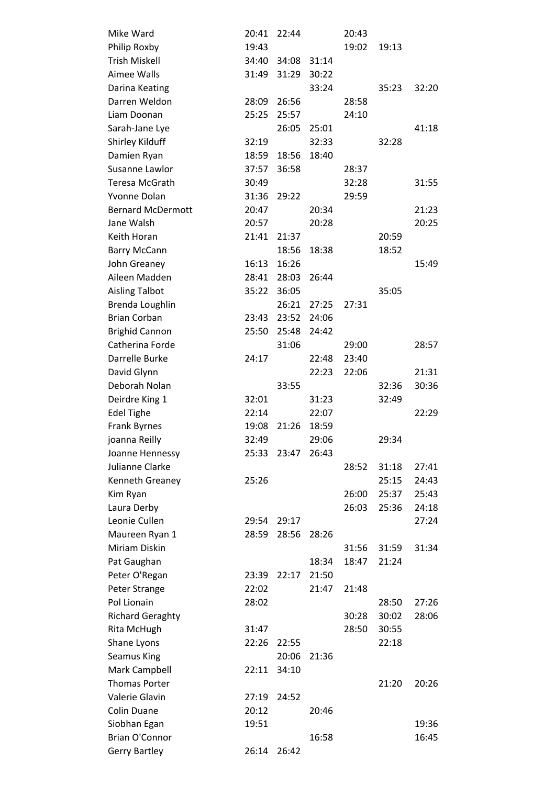| Mike Ward                | 20:41 | 22:44       |       | 20:43 |       |       |
|--------------------------|-------|-------------|-------|-------|-------|-------|
| Philip Roxby             | 19:43 |             |       | 19:02 | 19:13 |       |
| <b>Trish Miskell</b>     | 34:40 | 34:08 31:14 |       |       |       |       |
| Aimee Walls              | 31:49 | 31:29       | 30:22 |       |       |       |
| Darina Keating           |       |             | 33:24 |       | 35:23 | 32:20 |
| Darren Weldon            | 28:09 | 26:56       |       | 28:58 |       |       |
| Liam Doonan              | 25:25 | 25:57       |       | 24:10 |       |       |
| Sarah-Jane Lye           |       | 26:05       | 25:01 |       |       | 41:18 |
| Shirley Kilduff          | 32:19 |             | 32:33 |       | 32:28 |       |
| Damien Ryan              | 18:59 | 18:56       | 18:40 |       |       |       |
| Susanne Lawlor           | 37:57 | 36:58       |       | 28:37 |       |       |
| Teresa McGrath           | 30:49 |             |       | 32:28 |       | 31:55 |
| Yvonne Dolan             | 31:36 | 29:22       |       | 29:59 |       |       |
| <b>Bernard McDermott</b> | 20:47 |             | 20:34 |       |       | 21:23 |
| Jane Walsh               | 20:57 |             | 20:28 |       |       | 20:25 |
| Keith Horan              | 21:41 | 21:37       |       |       | 20:59 |       |
| <b>Barry McCann</b>      |       | 18:56       | 18:38 |       | 18:52 |       |
| John Greaney             | 16:13 | 16:26       |       |       |       | 15:49 |
| Aileen Madden            | 28:41 | 28:03       | 26:44 |       |       |       |
| <b>Aisling Talbot</b>    | 35:22 | 36:05       |       |       | 35:05 |       |
| Brenda Loughlin          |       | 26:21       | 27:25 | 27:31 |       |       |
| <b>Brian Corban</b>      | 23:43 | 23:52       | 24:06 |       |       |       |
| <b>Brighid Cannon</b>    | 25:50 | 25:48       | 24:42 |       |       |       |
| Catherina Forde          |       | 31:06       |       | 29:00 |       | 28:57 |
| Darrelle Burke           | 24:17 |             | 22:48 | 23:40 |       |       |
| David Glynn              |       |             | 22:23 | 22:06 |       | 21:31 |
| Deborah Nolan            |       | 33:55       |       |       | 32:36 | 30:36 |
| Deirdre King 1           | 32:01 |             | 31:23 |       | 32:49 |       |
| <b>Edel Tighe</b>        | 22:14 |             | 22:07 |       |       | 22:29 |
| <b>Frank Byrnes</b>      | 19:08 | 21:26       | 18:59 |       |       |       |
| joanna Reilly            | 32:49 |             | 29:06 |       | 29:34 |       |
| Joanne Hennessy          | 25:33 | 23:47       | 26:43 |       |       |       |
| Julianne Clarke          |       |             |       | 28:52 | 31:18 | 27:41 |
| Kenneth Greaney          | 25:26 |             |       |       | 25:15 | 24:43 |
| Kim Ryan                 |       |             |       | 26:00 | 25:37 | 25:43 |
| Laura Derby              |       |             |       | 26:03 | 25:36 | 24:18 |
| Leonie Cullen            | 29:54 | 29:17       |       |       |       | 27:24 |
| Maureen Ryan 1           | 28:59 | 28:56       | 28:26 |       |       |       |
| Miriam Diskin            |       |             |       | 31:56 | 31:59 | 31:34 |
| Pat Gaughan              |       |             | 18:34 | 18:47 | 21:24 |       |
| Peter O'Regan            | 23:39 | 22:17       | 21:50 |       |       |       |
| Peter Strange            | 22:02 |             | 21:47 | 21:48 |       |       |
| Pol Lionain              | 28:02 |             |       |       | 28:50 | 27:26 |
| <b>Richard Geraghty</b>  |       |             |       | 30:28 | 30:02 | 28:06 |
| Rita McHugh              | 31:47 |             |       | 28:50 | 30:55 |       |
| Shane Lyons              | 22:26 | 22:55       |       |       | 22:18 |       |
| <b>Seamus King</b>       |       | 20:06       | 21:36 |       |       |       |
| Mark Campbell            | 22:11 | 34:10       |       |       |       |       |
| <b>Thomas Porter</b>     |       |             |       |       | 21:20 | 20:26 |
| Valerie Glavin           | 27:19 | 24:52       |       |       |       |       |
| <b>Colin Duane</b>       | 20:12 |             | 20:46 |       |       |       |
| Siobhan Egan             | 19:51 |             |       |       |       | 19:36 |
| Brian O'Connor           |       |             | 16:58 |       |       | 16:45 |
|                          | 26:14 | 26:42       |       |       |       |       |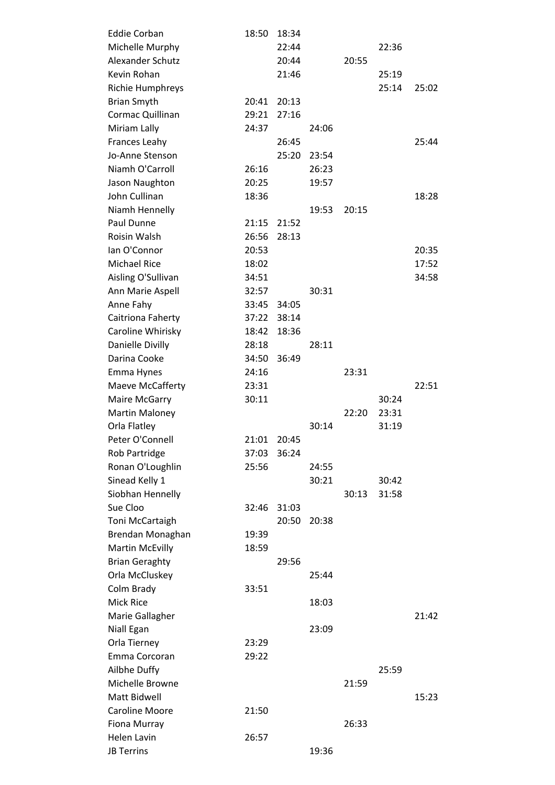| <b>Eddie Corban</b>    | 18:50 | 18:34 |       |       |       |       |
|------------------------|-------|-------|-------|-------|-------|-------|
| Michelle Murphy        |       | 22:44 |       |       | 22:36 |       |
| Alexander Schutz       |       | 20:44 |       | 20:55 |       |       |
| Kevin Rohan            |       | 21:46 |       |       | 25:19 |       |
| Richie Humphreys       |       |       |       |       | 25:14 | 25:02 |
| <b>Brian Smyth</b>     | 20:41 | 20:13 |       |       |       |       |
| Cormac Quillinan       | 29:21 | 27:16 |       |       |       |       |
| Miriam Lally           | 24:37 |       | 24:06 |       |       |       |
| Frances Leahy          |       | 26:45 |       |       |       | 25:44 |
| Jo-Anne Stenson        |       | 25:20 | 23:54 |       |       |       |
| Niamh O'Carroll        | 26:16 |       | 26:23 |       |       |       |
| Jason Naughton         | 20:25 |       | 19:57 |       |       |       |
| John Cullinan          | 18:36 |       |       |       |       | 18:28 |
| Niamh Hennelly         |       |       | 19:53 | 20:15 |       |       |
| Paul Dunne             | 21:15 | 21:52 |       |       |       |       |
| Roisin Walsh           | 26:56 | 28:13 |       |       |       |       |
| lan O'Connor           | 20:53 |       |       |       |       | 20:35 |
| <b>Michael Rice</b>    | 18:02 |       |       |       |       | 17:52 |
| Aisling O'Sullivan     | 34:51 |       |       |       |       | 34:58 |
| Ann Marie Aspell       | 32:57 |       | 30:31 |       |       |       |
| Anne Fahy              | 33:45 | 34:05 |       |       |       |       |
| Caitriona Faherty      | 37:22 | 38:14 |       |       |       |       |
| Caroline Whirisky      | 18:42 | 18:36 |       |       |       |       |
| Danielle Divilly       | 28:18 |       | 28:11 |       |       |       |
| Darina Cooke           | 34:50 | 36:49 |       |       |       |       |
| Emma Hynes             | 24:16 |       |       | 23:31 |       |       |
| Maeve McCafferty       | 23:31 |       |       |       |       | 22:51 |
| Maire McGarry          | 30:11 |       |       |       | 30:24 |       |
| <b>Martin Maloney</b>  |       |       |       | 22:20 | 23:31 |       |
| Orla Flatley           |       |       | 30:14 |       | 31:19 |       |
| Peter O'Connell        | 21:01 | 20:45 |       |       |       |       |
| Rob Partridge          | 37:03 | 36:24 |       |       |       |       |
| Ronan O'Loughlin       | 25:56 |       | 24:55 |       |       |       |
| Sinead Kelly 1         |       |       | 30:21 |       | 30:42 |       |
| Siobhan Hennelly       |       |       |       | 30:13 | 31:58 |       |
| Sue Cloo               | 32:46 | 31:03 |       |       |       |       |
| Toni McCartaigh        |       | 20:50 | 20:38 |       |       |       |
| Brendan Monaghan       | 19:39 |       |       |       |       |       |
| <b>Martin McEvilly</b> | 18:59 |       |       |       |       |       |
| <b>Brian Geraghty</b>  |       |       |       |       |       |       |
| Orla McCluskey         |       | 29:56 |       |       |       |       |
|                        |       |       | 25:44 |       |       |       |
| Colm Brady             | 33:51 |       |       |       |       |       |
| <b>Mick Rice</b>       |       |       | 18:03 |       |       |       |
| Marie Gallagher        |       |       |       |       |       | 21:42 |
| Niall Egan             |       |       | 23:09 |       |       |       |
| Orla Tierney           | 23:29 |       |       |       |       |       |
| Emma Corcoran          | 29:22 |       |       |       |       |       |
| Ailbhe Duffy           |       |       |       |       | 25:59 |       |
| Michelle Browne        |       |       |       | 21:59 |       |       |
| Matt Bidwell           |       |       |       |       |       | 15:23 |
| <b>Caroline Moore</b>  | 21:50 |       |       |       |       |       |
| Fiona Murray           |       |       |       | 26:33 |       |       |
| <b>Helen Lavin</b>     | 26:57 |       |       |       |       |       |